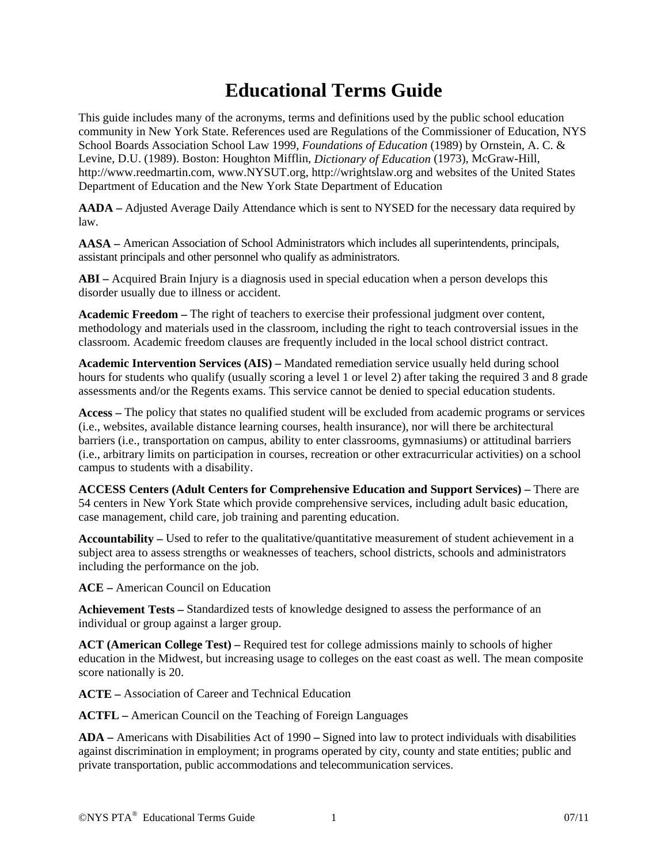## **Educational Terms Guide**

This guide includes many of the acronyms, terms and definitions used by the public school education community in New York State. References used are Regulations of the Commissioner of Education, NYS School Boards Association School Law 1999, *Foundations of Education* (1989) by Ornstein, A. C. & Levine, D.U. (1989). Boston: Houghton Mifflin, *Dictionary of Education* (1973), McGraw-Hill, http://www.reedmartin.com, www.NYSUT.org, http://wrightslaw.org and websites of the United States Department of Education and the New York State Department of Education

**AADA –** Adjusted Average Daily Attendance which is sent to NYSED for the necessary data required by law.

**AASA –** American Association of School Administrators which includes all superintendents, principals, assistant principals and other personnel who qualify as administrators.

**ABI –** Acquired Brain Injury is a diagnosis used in special education when a person develops this disorder usually due to illness or accident.

**Academic Freedom –** The right of teachers to exercise their professional judgment over content, methodology and materials used in the classroom, including the right to teach controversial issues in the classroom. Academic freedom clauses are frequently included in the local school district contract.

**Academic Intervention Services (AIS) –** Mandated remediation service usually held during school hours for students who qualify (usually scoring a level 1 or level 2) after taking the required 3 and 8 grade assessments and/or the Regents exams. This service cannot be denied to special education students.

**Access –** The policy that states no qualified student will be excluded from academic programs or services (i.e., websites, available distance learning courses, health insurance), nor will there be architectural barriers (i.e., transportation on campus, ability to enter classrooms, gymnasiums) or attitudinal barriers (i.e., arbitrary limits on participation in courses, recreation or other extracurricular activities) on a school campus to students with a disability.

**ACCESS Centers (Adult Centers for Comprehensive Education and Support Services) –** There are 54 centers in New York State which provide comprehensive services, including adult basic education, case management, child care, job training and parenting education.

**Accountability –** Used to refer to the qualitative/quantitative measurement of student achievement in a subject area to assess strengths or weaknesses of teachers, school districts, schools and administrators including the performance on the job.

**ACE –** American Council on Education

**Achievement Tests –** Standardized tests of knowledge designed to assess the performance of an individual or group against a larger group.

**ACT (American College Test) –** Required test for college admissions mainly to schools of higher education in the Midwest, but increasing usage to colleges on the east coast as well. The mean composite score nationally is 20.

**ACTE –** Association of Career and Technical Education

**ACTFL –** American Council on the Teaching of Foreign Languages

**ADA –** Americans with Disabilities Act of 1990 **–** Signed into law to protect individuals with disabilities against discrimination in employment; in programs operated by city, county and state entities; public and private transportation, public accommodations and telecommunication services.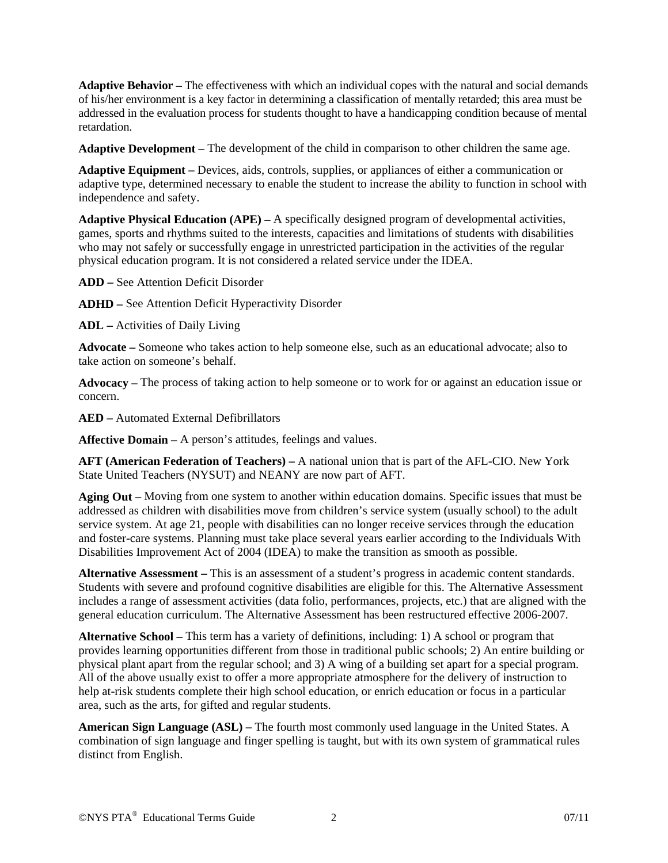**Adaptive Behavior –** The effectiveness with which an individual copes with the natural and social demands of his/her environment is a key factor in determining a classification of mentally retarded; this area must be addressed in the evaluation process for students thought to have a handicapping condition because of mental retardation.

**Adaptive Development –** The development of the child in comparison to other children the same age.

**Adaptive Equipment –** Devices, aids, controls, supplies, or appliances of either a communication or adaptive type, determined necessary to enable the student to increase the ability to function in school with independence and safety.

**Adaptive Physical Education (APE) –** A specifically designed program of developmental activities, games, sports and rhythms suited to the interests, capacities and limitations of students with disabilities who may not safely or successfully engage in unrestricted participation in the activities of the regular physical education program. It is not considered a related service under the IDEA.

**ADD –** See Attention Deficit Disorder

**ADHD –** See Attention Deficit Hyperactivity Disorder

**ADL –** Activities of Daily Living

**Advocate –** Someone who takes action to help someone else, such as an educational advocate; also to take action on someone's behalf.

**Advocacy –** The process of taking action to help someone or to work for or against an education issue or concern.

**AED –** Automated External Defibrillators

**Affective Domain –** A person's attitudes, feelings and values.

**AFT (American Federation of Teachers) –** A national union that is part of the AFL-CIO. New York State United Teachers (NYSUT) and NEANY are now part of AFT.

**Aging Out –** Moving from one system to another within education domains. Specific issues that must be addressed as children with disabilities move from children's service system (usually school) to the adult service system. At age 21, people with disabilities can no longer receive services through the education and foster-care systems. Planning must take place several years earlier according to the Individuals With Disabilities Improvement Act of 2004 (IDEA) to make the transition as smooth as possible.

**Alternative Assessment –** This is an assessment of a student's progress in academic content standards. Students with severe and profound cognitive disabilities are eligible for this. The Alternative Assessment includes a range of assessment activities (data folio, performances, projects, etc.) that are aligned with the general education curriculum. The Alternative Assessment has been restructured effective 2006-2007.

**Alternative School –** This term has a variety of definitions, including: 1) A school or program that provides learning opportunities different from those in traditional public schools; 2) An entire building or physical plant apart from the regular school; and 3) A wing of a building set apart for a special program. All of the above usually exist to offer a more appropriate atmosphere for the delivery of instruction to help at-risk students complete their high school education, or enrich education or focus in a particular area, such as the arts, for gifted and regular students.

**American Sign Language (ASL) –** The fourth most commonly used language in the United States. A combination of sign language and finger spelling is taught, but with its own system of grammatical rules distinct from English.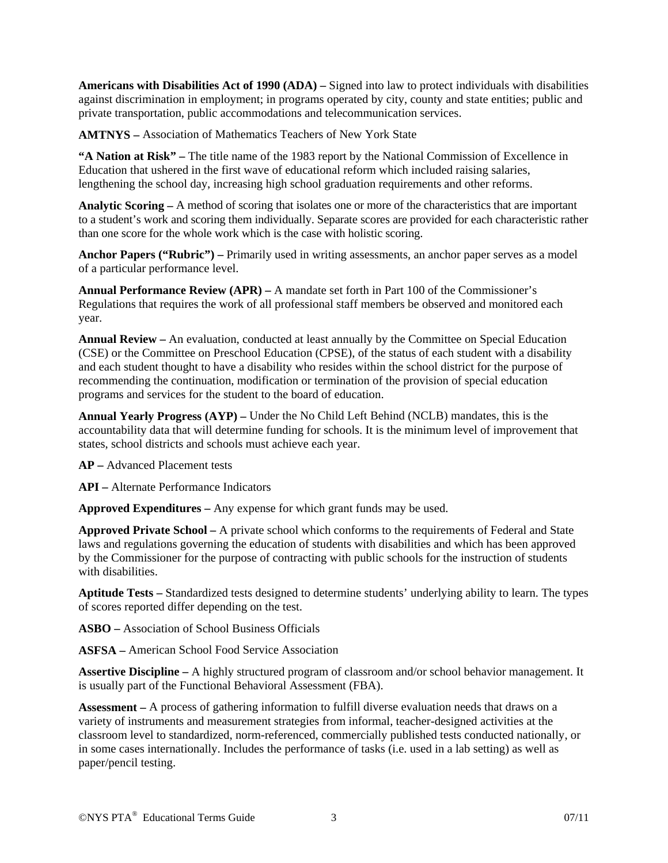**Americans with Disabilities Act of 1990 (ADA) –** Signed into law to protect individuals with disabilities against discrimination in employment; in programs operated by city, county and state entities; public and private transportation, public accommodations and telecommunication services.

**AMTNYS –** Association of Mathematics Teachers of New York State

**"A Nation at Risk" –** The title name of the 1983 report by the National Commission of Excellence in Education that ushered in the first wave of educational reform which included raising salaries, lengthening the school day, increasing high school graduation requirements and other reforms.

**Analytic Scoring –** A method of scoring that isolates one or more of the characteristics that are important to a student's work and scoring them individually. Separate scores are provided for each characteristic rather than one score for the whole work which is the case with holistic scoring.

**Anchor Papers ("Rubric") –** Primarily used in writing assessments, an anchor paper serves as a model of a particular performance level.

**Annual Performance Review (APR) –** A mandate set forth in Part 100 of the Commissioner's Regulations that requires the work of all professional staff members be observed and monitored each year.

**Annual Review –** An evaluation, conducted at least annually by the Committee on Special Education (CSE) or the Committee on Preschool Education (CPSE), of the status of each student with a disability and each student thought to have a disability who resides within the school district for the purpose of recommending the continuation, modification or termination of the provision of special education programs and services for the student to the board of education.

**Annual Yearly Progress (AYP) –** Under the No Child Left Behind (NCLB) mandates, this is the accountability data that will determine funding for schools. It is the minimum level of improvement that states, school districts and schools must achieve each year.

**AP –** Advanced Placement tests

**API –** Alternate Performance Indicators

**Approved Expenditures –** Any expense for which grant funds may be used.

**Approved Private School –** A private school which conforms to the requirements of Federal and State laws and regulations governing the education of students with disabilities and which has been approved by the Commissioner for the purpose of contracting with public schools for the instruction of students with disabilities.

**Aptitude Tests –** Standardized tests designed to determine students' underlying ability to learn. The types of scores reported differ depending on the test.

**ASBO –** Association of School Business Officials

**ASFSA –** American School Food Service Association

**Assertive Discipline –** A highly structured program of classroom and/or school behavior management. It is usually part of the Functional Behavioral Assessment (FBA).

**Assessment –** A process of gathering information to fulfill diverse evaluation needs that draws on a variety of instruments and measurement strategies from informal, teacher-designed activities at the classroom level to standardized, norm-referenced, commercially published tests conducted nationally, or in some cases internationally. Includes the performance of tasks (i.e. used in a lab setting) as well as paper/pencil testing.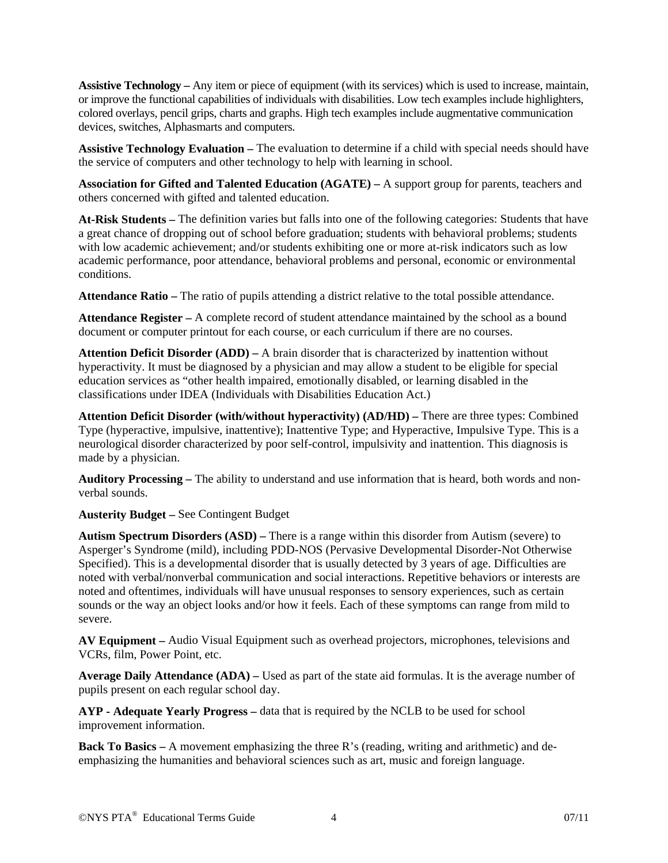**Assistive Technology –** Any item or piece of equipment (with its services) which is used to increase, maintain, or improve the functional capabilities of individuals with disabilities. Low tech examples include highlighters, colored overlays, pencil grips, charts and graphs. High tech examples include augmentative communication devices, switches, Alphasmarts and computers.

**Assistive Technology Evaluation –** The evaluation to determine if a child with special needs should have the service of computers and other technology to help with learning in school.

**Association for Gifted and Talented Education (AGATE) –** A support group for parents, teachers and others concerned with gifted and talented education.

**At-Risk Students –** The definition varies but falls into one of the following categories: Students that have a great chance of dropping out of school before graduation; students with behavioral problems; students with low academic achievement; and/or students exhibiting one or more at-risk indicators such as low academic performance, poor attendance, behavioral problems and personal, economic or environmental conditions.

**Attendance Ratio –** The ratio of pupils attending a district relative to the total possible attendance.

**Attendance Register –** A complete record of student attendance maintained by the school as a bound document or computer printout for each course, or each curriculum if there are no courses.

**Attention Deficit Disorder (ADD) –** A brain disorder that is characterized by inattention without hyperactivity. It must be diagnosed by a physician and may allow a student to be eligible for special education services as "other health impaired, emotionally disabled, or learning disabled in the classifications under IDEA (Individuals with Disabilities Education Act.)

**Attention Deficit Disorder (with/without hyperactivity) (AD/HD)** – There are three types: Combined Type (hyperactive, impulsive, inattentive); Inattentive Type; and Hyperactive, Impulsive Type. This is a neurological disorder characterized by poor self-control, impulsivity and inattention. This diagnosis is made by a physician.

**Auditory Processing –** The ability to understand and use information that is heard, both words and nonverbal sounds.

**Austerity Budget –** See Contingent Budget

**Autism Spectrum Disorders (ASD) –** There is a range within this disorder from Autism (severe) to Asperger's Syndrome (mild), including PDD-NOS (Pervasive Developmental Disorder-Not Otherwise Specified). This is a developmental disorder that is usually detected by 3 years of age. Difficulties are noted with verbal/nonverbal communication and social interactions. Repetitive behaviors or interests are noted and oftentimes, individuals will have unusual responses to sensory experiences, such as certain sounds or the way an object looks and/or how it feels. Each of these symptoms can range from mild to severe.

**AV Equipment –** Audio Visual Equipment such as overhead projectors, microphones, televisions and VCRs, film, Power Point, etc.

**Average Daily Attendance (ADA) –** Used as part of the state aid formulas. It is the average number of pupils present on each regular school day.

**AYP - Adequate Yearly Progress –** data that is required by the NCLB to be used for school improvement information.

**Back To Basics –** A movement emphasizing the three R's (reading, writing and arithmetic) and deemphasizing the humanities and behavioral sciences such as art, music and foreign language.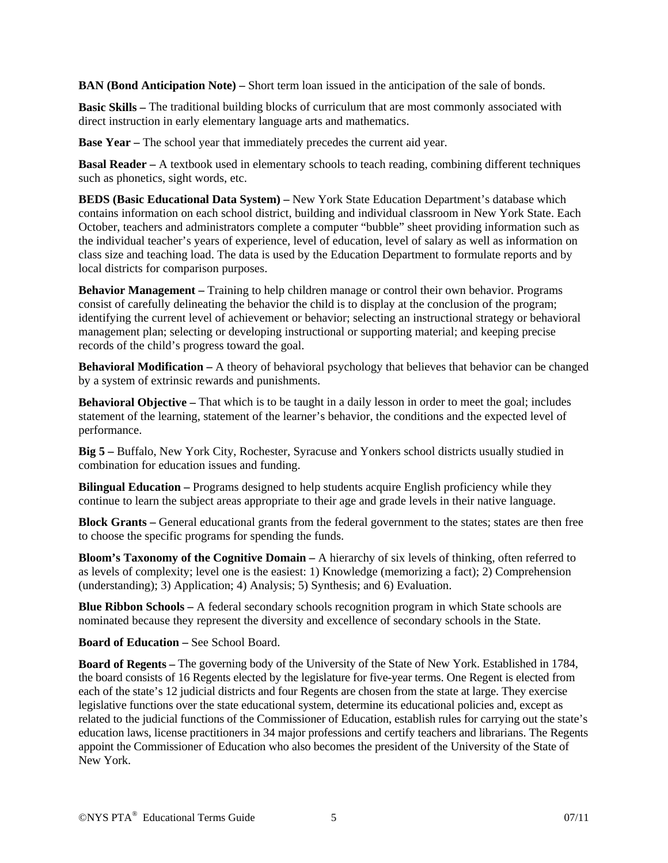**BAN (Bond Anticipation Note) –** Short term loan issued in the anticipation of the sale of bonds.

**Basic Skills – The traditional building blocks of curriculum that are most commonly associated with** direct instruction in early elementary language arts and mathematics.

**Base Year –** The school year that immediately precedes the current aid year.

**Basal Reader –** A textbook used in elementary schools to teach reading, combining different techniques such as phonetics, sight words, etc.

**BEDS (Basic Educational Data System) –** New York State Education Department's database which contains information on each school district, building and individual classroom in New York State. Each October, teachers and administrators complete a computer "bubble" sheet providing information such as the individual teacher's years of experience, level of education, level of salary as well as information on class size and teaching load. The data is used by the Education Department to formulate reports and by local districts for comparison purposes.

**Behavior Management –** Training to help children manage or control their own behavior. Programs consist of carefully delineating the behavior the child is to display at the conclusion of the program; identifying the current level of achievement or behavior; selecting an instructional strategy or behavioral management plan; selecting or developing instructional or supporting material; and keeping precise records of the child's progress toward the goal.

**Behavioral Modification –** A theory of behavioral psychology that believes that behavior can be changed by a system of extrinsic rewards and punishments.

**Behavioral Objective –** That which is to be taught in a daily lesson in order to meet the goal; includes statement of the learning, statement of the learner's behavior, the conditions and the expected level of performance.

**Big 5 –** Buffalo, New York City, Rochester, Syracuse and Yonkers school districts usually studied in combination for education issues and funding.

**Bilingual Education** – Programs designed to help students acquire English proficiency while they continue to learn the subject areas appropriate to their age and grade levels in their native language.

**Block Grants –** General educational grants from the federal government to the states; states are then free to choose the specific programs for spending the funds.

**Bloom's Taxonomy of the Cognitive Domain –** A hierarchy of six levels of thinking, often referred to as levels of complexity; level one is the easiest: 1) Knowledge (memorizing a fact); 2) Comprehension (understanding); 3) Application; 4) Analysis; 5) Synthesis; and 6) Evaluation.

**Blue Ribbon Schools –** A federal secondary schools recognition program in which State schools are nominated because they represent the diversity and excellence of secondary schools in the State.

**Board of Education –** See School Board.

**Board of Regents –** The governing body of the University of the State of New York. Established in 1784, the board consists of 16 Regents elected by the legislature for five-year terms. One Regent is elected from each of the state's 12 judicial districts and four Regents are chosen from the state at large. They exercise legislative functions over the state educational system, determine its educational policies and, except as related to the judicial functions of the Commissioner of Education, establish rules for carrying out the state's education laws, license practitioners in 34 major professions and certify teachers and librarians. The Regents appoint the Commissioner of Education who also becomes the president of the University of the State of New York.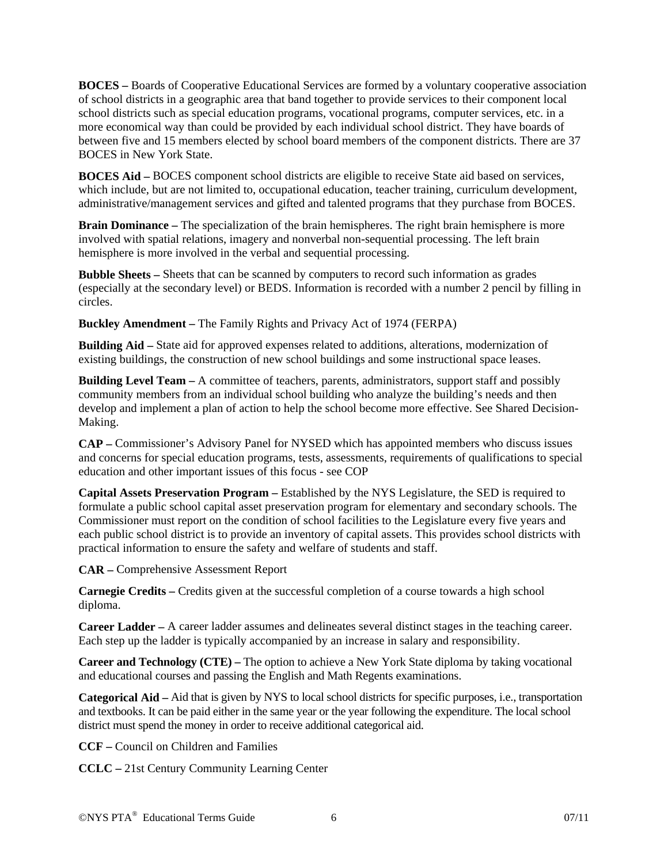**BOCES –** Boards of Cooperative Educational Services are formed by a voluntary cooperative association of school districts in a geographic area that band together to provide services to their component local school districts such as special education programs, vocational programs, computer services, etc. in a more economical way than could be provided by each individual school district. They have boards of between five and 15 members elected by school board members of the component districts. There are 37 BOCES in New York State.

**BOCES Aid –** BOCES component school districts are eligible to receive State aid based on services, which include, but are not limited to, occupational education, teacher training, curriculum development, administrative/management services and gifted and talented programs that they purchase from BOCES.

**Brain Dominance –** The specialization of the brain hemispheres. The right brain hemisphere is more involved with spatial relations, imagery and nonverbal non-sequential processing. The left brain hemisphere is more involved in the verbal and sequential processing.

**Bubble Sheets –** Sheets that can be scanned by computers to record such information as grades (especially at the secondary level) or BEDS. Information is recorded with a number 2 pencil by filling in circles.

**Buckley Amendment –** The Family Rights and Privacy Act of 1974 (FERPA)

**Building Aid –** State aid for approved expenses related to additions, alterations, modernization of existing buildings, the construction of new school buildings and some instructional space leases.

**Building Level Team –** A committee of teachers, parents, administrators, support staff and possibly community members from an individual school building who analyze the building's needs and then develop and implement a plan of action to help the school become more effective. See Shared Decision-Making.

**CAP –** Commissioner's Advisory Panel for NYSED which has appointed members who discuss issues and concerns for special education programs, tests, assessments, requirements of qualifications to special education and other important issues of this focus - see COP

**Capital Assets Preservation Program –** Established by the NYS Legislature, the SED is required to formulate a public school capital asset preservation program for elementary and secondary schools. The Commissioner must report on the condition of school facilities to the Legislature every five years and each public school district is to provide an inventory of capital assets. This provides school districts with practical information to ensure the safety and welfare of students and staff.

**CAR –** Comprehensive Assessment Report

**Carnegie Credits – Credits given at the successful completion of a course towards a high school** diploma.

**Career Ladder –** A career ladder assumes and delineates several distinct stages in the teaching career. Each step up the ladder is typically accompanied by an increase in salary and responsibility.

**Career and Technology (CTE) –** The option to achieve a New York State diploma by taking vocational and educational courses and passing the English and Math Regents examinations.

**Categorical Aid –** Aid that is given by NYS to local school districts for specific purposes, i.e., transportation and textbooks. It can be paid either in the same year or the year following the expenditure. The local school district must spend the money in order to receive additional categorical aid.

**CCF –** Council on Children and Families

**CCLC –** 21st Century Community Learning Center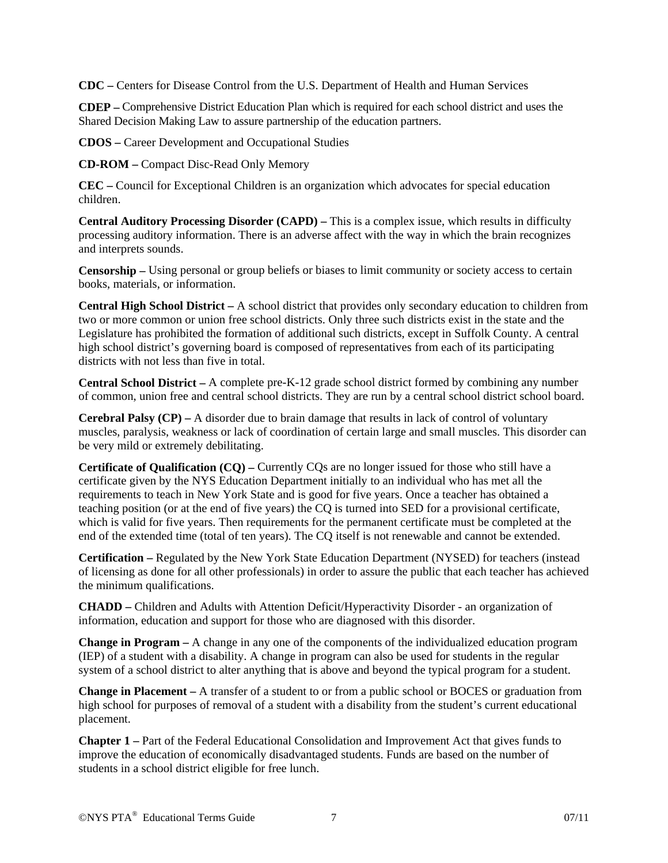**CDC –** Centers for Disease Control from the U.S. Department of Health and Human Services

**CDEP –** Comprehensive District Education Plan which is required for each school district and uses the Shared Decision Making Law to assure partnership of the education partners.

**CDOS –** Career Development and Occupational Studies

**CD-ROM –** Compact Disc-Read Only Memory

**CEC –** Council for Exceptional Children is an organization which advocates for special education children.

**Central Auditory Processing Disorder (CAPD) –** This is a complex issue, which results in difficulty processing auditory information. There is an adverse affect with the way in which the brain recognizes and interprets sounds.

**Censorship –** Using personal or group beliefs or biases to limit community or society access to certain books, materials, or information.

**Central High School District –** A school district that provides only secondary education to children from two or more common or union free school districts. Only three such districts exist in the state and the Legislature has prohibited the formation of additional such districts, except in Suffolk County. A central high school district's governing board is composed of representatives from each of its participating districts with not less than five in total.

**Central School District –** A complete pre-K-12 grade school district formed by combining any number of common, union free and central school districts. They are run by a central school district school board.

**Cerebral Palsy (CP) –** A disorder due to brain damage that results in lack of control of voluntary muscles, paralysis, weakness or lack of coordination of certain large and small muscles. This disorder can be very mild or extremely debilitating.

**Certificate of Qualification (CQ) –** Currently CQs are no longer issued for those who still have a certificate given by the NYS Education Department initially to an individual who has met all the requirements to teach in New York State and is good for five years. Once a teacher has obtained a teaching position (or at the end of five years) the CQ is turned into SED for a provisional certificate, which is valid for five years. Then requirements for the permanent certificate must be completed at the end of the extended time (total of ten years). The CQ itself is not renewable and cannot be extended.

**Certification –** Regulated by the New York State Education Department (NYSED) for teachers (instead of licensing as done for all other professionals) in order to assure the public that each teacher has achieved the minimum qualifications.

**CHADD –** Children and Adults with Attention Deficit/Hyperactivity Disorder - an organization of information, education and support for those who are diagnosed with this disorder.

**Change in Program –** A change in any one of the components of the individualized education program (IEP) of a student with a disability. A change in program can also be used for students in the regular system of a school district to alter anything that is above and beyond the typical program for a student.

**Change in Placement –** A transfer of a student to or from a public school or BOCES or graduation from high school for purposes of removal of a student with a disability from the student's current educational placement.

**Chapter 1 –** Part of the Federal Educational Consolidation and Improvement Act that gives funds to improve the education of economically disadvantaged students. Funds are based on the number of students in a school district eligible for free lunch.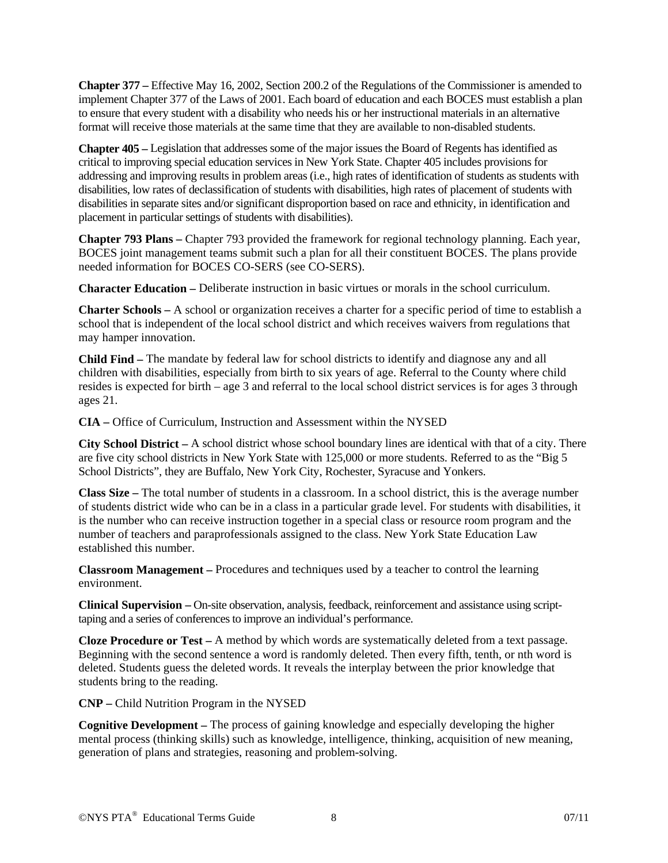**Chapter 377 –** Effective May 16, 2002, Section 200.2 of the Regulations of the Commissioner is amended to implement Chapter 377 of the Laws of 2001. Each board of education and each BOCES must establish a plan to ensure that every student with a disability who needs his or her instructional materials in an alternative format will receive those materials at the same time that they are available to non-disabled students.

**Chapter 405 –** Legislation that addresses some of the major issues the Board of Regents has identified as critical to improving special education services in New York State. Chapter 405 includes provisions for addressing and improving results in problem areas (i.e., high rates of identification of students as students with disabilities, low rates of declassification of students with disabilities, high rates of placement of students with disabilities in separate sites and/or significant disproportion based on race and ethnicity, in identification and placement in particular settings of students with disabilities).

**Chapter 793 Plans –** Chapter 793 provided the framework for regional technology planning. Each year, BOCES joint management teams submit such a plan for all their constituent BOCES. The plans provide needed information for BOCES CO-SERS (see CO-SERS).

**Character Education –** Deliberate instruction in basic virtues or morals in the school curriculum.

**Charter Schools –** A school or organization receives a charter for a specific period of time to establish a school that is independent of the local school district and which receives waivers from regulations that may hamper innovation.

**Child Find –** The mandate by federal law for school districts to identify and diagnose any and all children with disabilities, especially from birth to six years of age. Referral to the County where child resides is expected for birth – age 3 and referral to the local school district services is for ages 3 through ages 21.

**CIA –** Office of Curriculum, Instruction and Assessment within the NYSED

**City School District –** A school district whose school boundary lines are identical with that of a city. There are five city school districts in New York State with 125,000 or more students. Referred to as the "Big 5 School Districts", they are Buffalo, New York City, Rochester, Syracuse and Yonkers.

**Class Size –** The total number of students in a classroom. In a school district, this is the average number of students district wide who can be in a class in a particular grade level. For students with disabilities, it is the number who can receive instruction together in a special class or resource room program and the number of teachers and paraprofessionals assigned to the class. New York State Education Law established this number.

**Classroom Management –** Procedures and techniques used by a teacher to control the learning environment.

**Clinical Supervision –** On-site observation, analysis, feedback, reinforcement and assistance using scripttaping and a series of conferences to improve an individual's performance.

**Cloze Procedure or Test –** A method by which words are systematically deleted from a text passage. Beginning with the second sentence a word is randomly deleted. Then every fifth, tenth, or nth word is deleted. Students guess the deleted words. It reveals the interplay between the prior knowledge that students bring to the reading.

**CNP –** Child Nutrition Program in the NYSED

**Cognitive Development –** The process of gaining knowledge and especially developing the higher mental process (thinking skills) such as knowledge, intelligence, thinking, acquisition of new meaning, generation of plans and strategies, reasoning and problem-solving.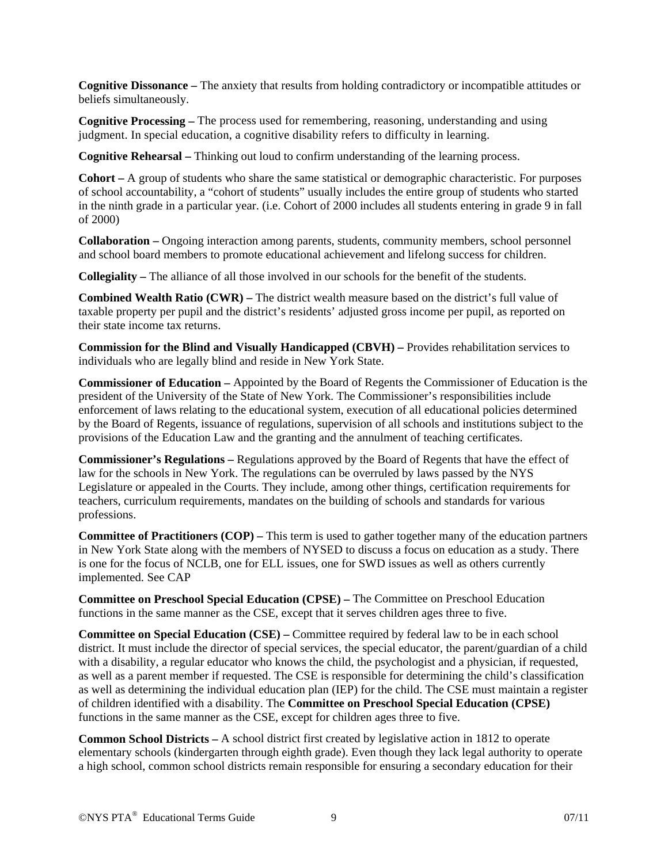**Cognitive Dissonance –** The anxiety that results from holding contradictory or incompatible attitudes or beliefs simultaneously.

**Cognitive Processing –** The process used for remembering, reasoning, understanding and using judgment. In special education, a cognitive disability refers to difficulty in learning.

**Cognitive Rehearsal –** Thinking out loud to confirm understanding of the learning process.

**Cohort –** A group of students who share the same statistical or demographic characteristic. For purposes of school accountability, a "cohort of students" usually includes the entire group of students who started in the ninth grade in a particular year. (i.e. Cohort of 2000 includes all students entering in grade 9 in fall of 2000)

**Collaboration –** Ongoing interaction among parents, students, community members, school personnel and school board members to promote educational achievement and lifelong success for children.

**Collegiality –** The alliance of all those involved in our schools for the benefit of the students.

**Combined Wealth Ratio (CWR) –** The district wealth measure based on the district's full value of taxable property per pupil and the district's residents' adjusted gross income per pupil, as reported on their state income tax returns.

**Commission for the Blind and Visually Handicapped (CBVH) –** Provides rehabilitation services to individuals who are legally blind and reside in New York State.

**Commissioner of Education –** Appointed by the Board of Regents the Commissioner of Education is the president of the University of the State of New York. The Commissioner's responsibilities include enforcement of laws relating to the educational system, execution of all educational policies determined by the Board of Regents, issuance of regulations, supervision of all schools and institutions subject to the provisions of the Education Law and the granting and the annulment of teaching certificates.

**Commissioner's Regulations –** Regulations approved by the Board of Regents that have the effect of law for the schools in New York. The regulations can be overruled by laws passed by the NYS Legislature or appealed in the Courts. They include, among other things, certification requirements for teachers, curriculum requirements, mandates on the building of schools and standards for various professions.

**Committee of Practitioners (COP) –** This term is used to gather together many of the education partners in New York State along with the members of NYSED to discuss a focus on education as a study. There is one for the focus of NCLB, one for ELL issues, one for SWD issues as well as others currently implemented. See CAP

**Committee on Preschool Special Education (CPSE) –** The Committee on Preschool Education functions in the same manner as the CSE, except that it serves children ages three to five.

**Committee on Special Education (CSE) –** Committee required by federal law to be in each school district. It must include the director of special services, the special educator, the parent/guardian of a child with a disability, a regular educator who knows the child, the psychologist and a physician, if requested, as well as a parent member if requested. The CSE is responsible for determining the child's classification as well as determining the individual education plan (IEP) for the child. The CSE must maintain a register of children identified with a disability. The **Committee on Preschool Special Education (CPSE)** functions in the same manner as the CSE, except for children ages three to five.

**Common School Districts –** A school district first created by legislative action in 1812 to operate elementary schools (kindergarten through eighth grade). Even though they lack legal authority to operate a high school, common school districts remain responsible for ensuring a secondary education for their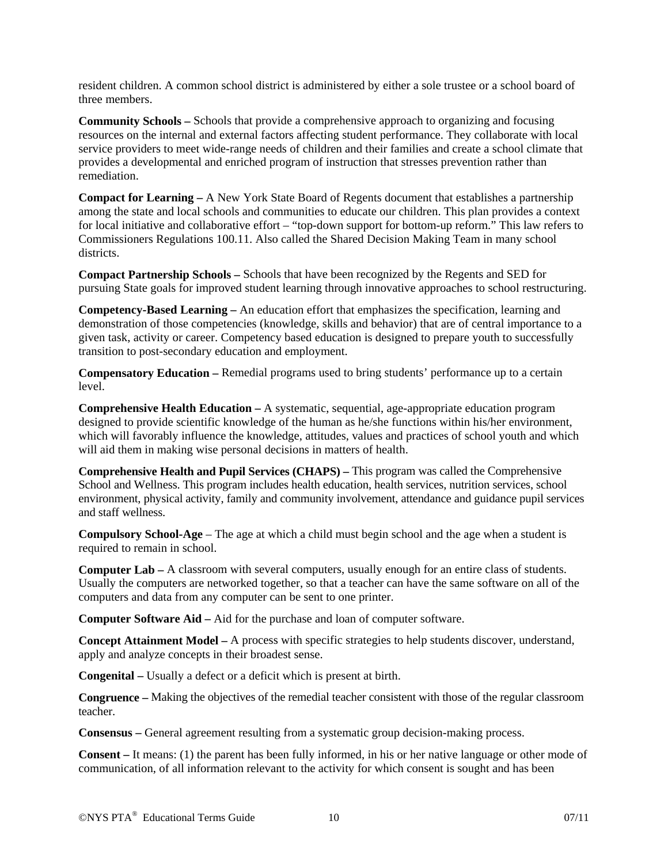resident children. A common school district is administered by either a sole trustee or a school board of three members.

**Community Schools –** Schools that provide a comprehensive approach to organizing and focusing resources on the internal and external factors affecting student performance. They collaborate with local service providers to meet wide-range needs of children and their families and create a school climate that provides a developmental and enriched program of instruction that stresses prevention rather than remediation.

**Compact for Learning –** A New York State Board of Regents document that establishes a partnership among the state and local schools and communities to educate our children. This plan provides a context for local initiative and collaborative effort – "top-down support for bottom-up reform." This law refers to Commissioners Regulations 100.11. Also called the Shared Decision Making Team in many school districts.

**Compact Partnership Schools –** Schools that have been recognized by the Regents and SED for pursuing State goals for improved student learning through innovative approaches to school restructuring.

**Competency-Based Learning –** An education effort that emphasizes the specification, learning and demonstration of those competencies (knowledge, skills and behavior) that are of central importance to a given task, activity or career. Competency based education is designed to prepare youth to successfully transition to post-secondary education and employment.

**Compensatory Education –** Remedial programs used to bring students' performance up to a certain level.

**Comprehensive Health Education –** A systematic, sequential, age-appropriate education program designed to provide scientific knowledge of the human as he/she functions within his/her environment, which will favorably influence the knowledge, attitudes, values and practices of school youth and which will aid them in making wise personal decisions in matters of health.

**Comprehensive Health and Pupil Services (CHAPS) –** This program was called the Comprehensive School and Wellness. This program includes health education, health services, nutrition services, school environment, physical activity, family and community involvement, attendance and guidance pupil services and staff wellness.

**Compulsory School-Age** – The age at which a child must begin school and the age when a student is required to remain in school.

**Computer Lab –** A classroom with several computers, usually enough for an entire class of students. Usually the computers are networked together, so that a teacher can have the same software on all of the computers and data from any computer can be sent to one printer.

**Computer Software Aid –** Aid for the purchase and loan of computer software.

**Concept Attainment Model –** A process with specific strategies to help students discover, understand, apply and analyze concepts in their broadest sense.

**Congenital –** Usually a defect or a deficit which is present at birth.

**Congruence –** Making the objectives of the remedial teacher consistent with those of the regular classroom teacher.

**Consensus –** General agreement resulting from a systematic group decision-making process.

**Consent –** It means: (1) the parent has been fully informed, in his or her native language or other mode of communication, of all information relevant to the activity for which consent is sought and has been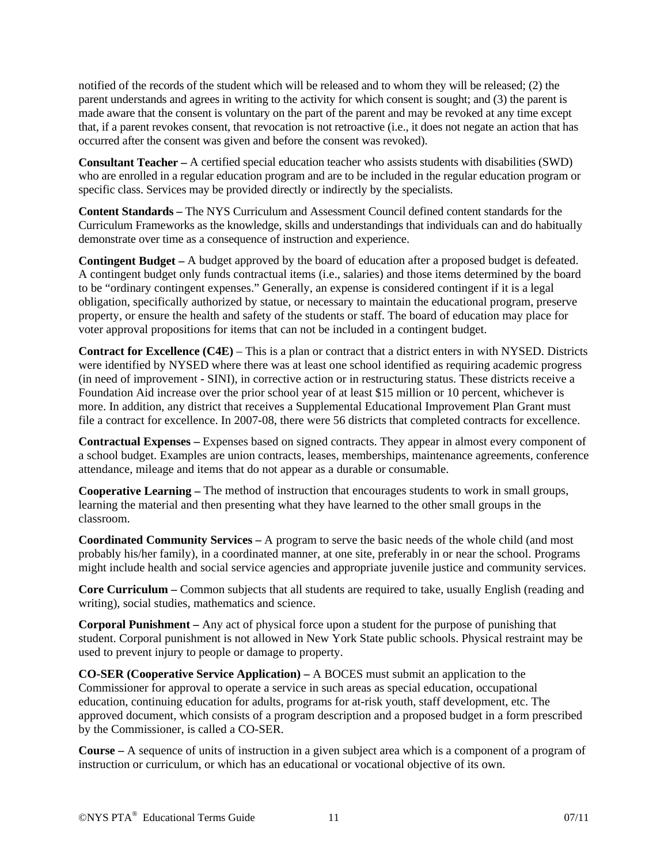notified of the records of the student which will be released and to whom they will be released; (2) the parent understands and agrees in writing to the activity for which consent is sought; and (3) the parent is made aware that the consent is voluntary on the part of the parent and may be revoked at any time except that, if a parent revokes consent, that revocation is not retroactive (i.e., it does not negate an action that has occurred after the consent was given and before the consent was revoked).

**Consultant Teacher –** A certified special education teacher who assists students with disabilities (SWD) who are enrolled in a regular education program and are to be included in the regular education program or specific class. Services may be provided directly or indirectly by the specialists.

**Content Standards –** The NYS Curriculum and Assessment Council defined content standards for the Curriculum Frameworks as the knowledge, skills and understandings that individuals can and do habitually demonstrate over time as a consequence of instruction and experience.

**Contingent Budget –** A budget approved by the board of education after a proposed budget is defeated. A contingent budget only funds contractual items (i.e., salaries) and those items determined by the board to be "ordinary contingent expenses." Generally, an expense is considered contingent if it is a legal obligation, specifically authorized by statue, or necessary to maintain the educational program, preserve property, or ensure the health and safety of the students or staff. The board of education may place for voter approval propositions for items that can not be included in a contingent budget.

**Contract for Excellence (C4E)** – This is a plan or contract that a district enters in with NYSED. Districts were identified by NYSED where there was at least one school identified as requiring academic progress (in need of improvement - SINI), in corrective action or in restructuring status. These districts receive a Foundation Aid increase over the prior school year of at least \$15 million or 10 percent, whichever is more. In addition, any district that receives a Supplemental Educational Improvement Plan Grant must file a contract for excellence. In 2007-08, there were 56 districts that completed contracts for excellence.

**Contractual Expenses –** Expenses based on signed contracts. They appear in almost every component of a school budget. Examples are union contracts, leases, memberships, maintenance agreements, conference attendance, mileage and items that do not appear as a durable or consumable.

**Cooperative Learning –** The method of instruction that encourages students to work in small groups, learning the material and then presenting what they have learned to the other small groups in the classroom.

**Coordinated Community Services –** A program to serve the basic needs of the whole child (and most probably his/her family), in a coordinated manner, at one site, preferably in or near the school. Programs might include health and social service agencies and appropriate juvenile justice and community services.

**Core Curriculum –** Common subjects that all students are required to take, usually English (reading and writing), social studies, mathematics and science.

**Corporal Punishment –** Any act of physical force upon a student for the purpose of punishing that student. Corporal punishment is not allowed in New York State public schools. Physical restraint may be used to prevent injury to people or damage to property.

**CO-SER (Cooperative Service Application) –** A BOCES must submit an application to the Commissioner for approval to operate a service in such areas as special education, occupational education, continuing education for adults, programs for at-risk youth, staff development, etc. The approved document, which consists of a program description and a proposed budget in a form prescribed by the Commissioner, is called a CO-SER.

**Course –** A sequence of units of instruction in a given subject area which is a component of a program of instruction or curriculum, or which has an educational or vocational objective of its own.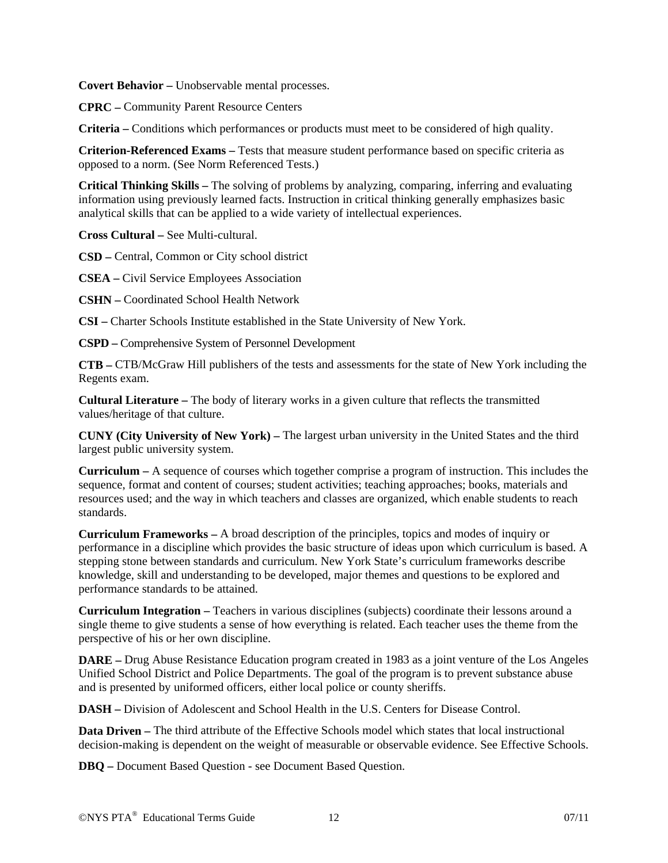**Covert Behavior –** Unobservable mental processes.

**CPRC –** Community Parent Resource Centers

**Criteria –** Conditions which performances or products must meet to be considered of high quality.

**Criterion-Referenced Exams –** Tests that measure student performance based on specific criteria as opposed to a norm. (See Norm Referenced Tests.)

**Critical Thinking Skills –** The solving of problems by analyzing, comparing, inferring and evaluating information using previously learned facts. Instruction in critical thinking generally emphasizes basic analytical skills that can be applied to a wide variety of intellectual experiences.

**Cross Cultural –** See Multi-cultural.

**CSD –** Central, Common or City school district

**CSEA –** Civil Service Employees Association

**CSHN –** Coordinated School Health Network

**CSI –** Charter Schools Institute established in the State University of New York.

**CSPD –** Comprehensive System of Personnel Development

**CTB –** CTB/McGraw Hill publishers of the tests and assessments for the state of New York including the Regents exam.

**Cultural Literature –** The body of literary works in a given culture that reflects the transmitted values/heritage of that culture.

**CUNY (City University of New York) –** The largest urban university in the United States and the third largest public university system.

**Curriculum –** A sequence of courses which together comprise a program of instruction. This includes the sequence, format and content of courses; student activities; teaching approaches; books, materials and resources used; and the way in which teachers and classes are organized, which enable students to reach standards.

**Curriculum Frameworks –** A broad description of the principles, topics and modes of inquiry or performance in a discipline which provides the basic structure of ideas upon which curriculum is based. A stepping stone between standards and curriculum. New York State's curriculum frameworks describe knowledge, skill and understanding to be developed, major themes and questions to be explored and performance standards to be attained.

**Curriculum Integration –** Teachers in various disciplines (subjects) coordinate their lessons around a single theme to give students a sense of how everything is related. Each teacher uses the theme from the perspective of his or her own discipline.

**DARE –** Drug Abuse Resistance Education program created in 1983 as a joint venture of the Los Angeles Unified School District and Police Departments. The goal of the program is to prevent substance abuse and is presented by uniformed officers, either local police or county sheriffs.

**DASH –** Division of Adolescent and School Health in the U.S. Centers for Disease Control.

**Data Driven –** The third attribute of the Effective Schools model which states that local instructional decision-making is dependent on the weight of measurable or observable evidence. See Effective Schools.

**DBQ –** Document Based Question - see Document Based Question.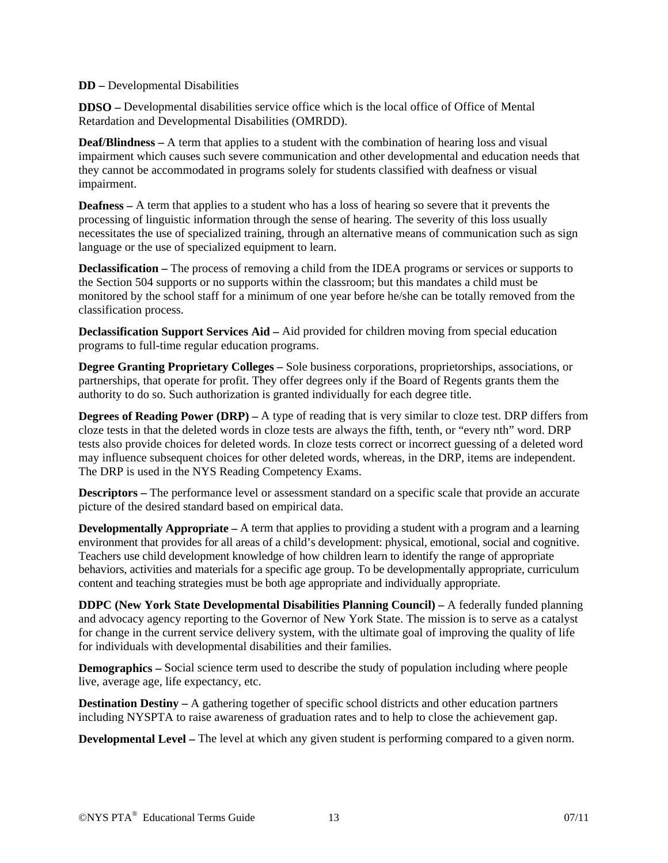## **DD –** Developmental Disabilities

**DDSO –** Developmental disabilities service office which is the local office of Office of Mental Retardation and Developmental Disabilities (OMRDD).

**Deaf/Blindness –** A term that applies to a student with the combination of hearing loss and visual impairment which causes such severe communication and other developmental and education needs that they cannot be accommodated in programs solely for students classified with deafness or visual impairment.

**Deafness** – A term that applies to a student who has a loss of hearing so severe that it prevents the processing of linguistic information through the sense of hearing. The severity of this loss usually necessitates the use of specialized training, through an alternative means of communication such as sign language or the use of specialized equipment to learn.

**Declassification –** The process of removing a child from the IDEA programs or services or supports to the Section 504 supports or no supports within the classroom; but this mandates a child must be monitored by the school staff for a minimum of one year before he/she can be totally removed from the classification process.

**Declassification Support Services Aid –** Aid provided for children moving from special education programs to full-time regular education programs.

**Degree Granting Proprietary Colleges –** Sole business corporations, proprietorships, associations, or partnerships, that operate for profit. They offer degrees only if the Board of Regents grants them the authority to do so. Such authorization is granted individually for each degree title.

**Degrees of Reading Power (DRP) –** A type of reading that is very similar to cloze test. DRP differs from cloze tests in that the deleted words in cloze tests are always the fifth, tenth, or "every nth" word. DRP tests also provide choices for deleted words. In cloze tests correct or incorrect guessing of a deleted word may influence subsequent choices for other deleted words, whereas, in the DRP, items are independent. The DRP is used in the NYS Reading Competency Exams.

**Descriptors –** The performance level or assessment standard on a specific scale that provide an accurate picture of the desired standard based on empirical data.

**Developmentally Appropriate** – A term that applies to providing a student with a program and a learning environment that provides for all areas of a child's development: physical, emotional, social and cognitive. Teachers use child development knowledge of how children learn to identify the range of appropriate behaviors, activities and materials for a specific age group. To be developmentally appropriate, curriculum content and teaching strategies must be both age appropriate and individually appropriate.

**DDPC (New York State Developmental Disabilities Planning Council) –** A federally funded planning and advocacy agency reporting to the Governor of New York State. The mission is to serve as a catalyst for change in the current service delivery system, with the ultimate goal of improving the quality of life for individuals with developmental disabilities and their families.

**Demographics** – Social science term used to describe the study of population including where people live, average age, life expectancy, etc.

**Destination Destiny** – A gathering together of specific school districts and other education partners including NYSPTA to raise awareness of graduation rates and to help to close the achievement gap.

**Developmental Level –** The level at which any given student is performing compared to a given norm.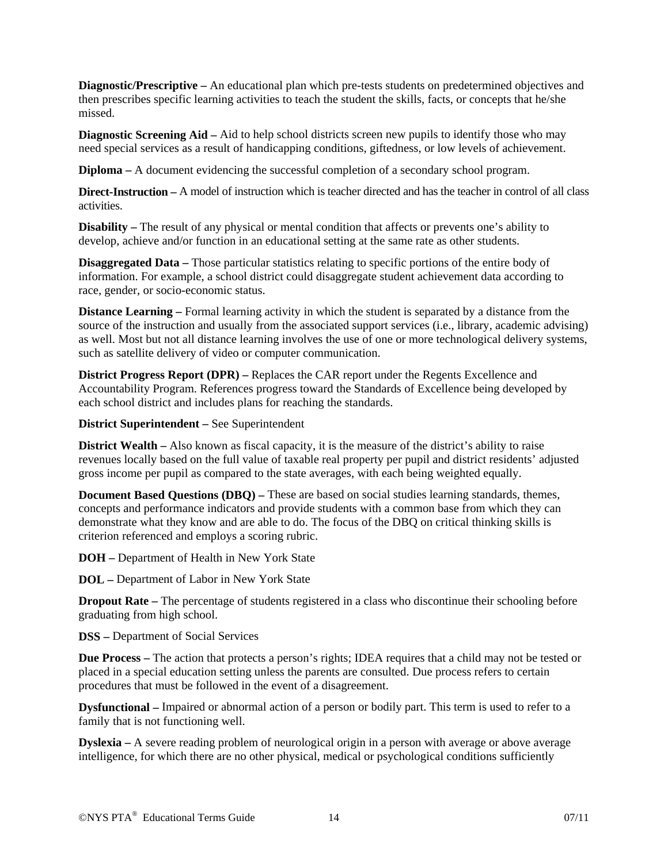**Diagnostic/Prescriptive –** An educational plan which pre-tests students on predetermined objectives and then prescribes specific learning activities to teach the student the skills, facts, or concepts that he/she missed.

**Diagnostic Screening Aid –** Aid to help school districts screen new pupils to identify those who may need special services as a result of handicapping conditions, giftedness, or low levels of achievement.

**Diploma –** A document evidencing the successful completion of a secondary school program.

**Direct-Instruction –** A model of instruction which is teacher directed and has the teacher in control of all class activities.

**Disability –** The result of any physical or mental condition that affects or prevents one's ability to develop, achieve and/or function in an educational setting at the same rate as other students.

**Disaggregated Data –** Those particular statistics relating to specific portions of the entire body of information. For example, a school district could disaggregate student achievement data according to race, gender, or socio-economic status.

**Distance Learning – Formal learning activity in which the student is separated by a distance from the** source of the instruction and usually from the associated support services (i.e., library, academic advising) as well. Most but not all distance learning involves the use of one or more technological delivery systems, such as satellite delivery of video or computer communication.

**District Progress Report (DPR) –** Replaces the CAR report under the Regents Excellence and Accountability Program. References progress toward the Standards of Excellence being developed by each school district and includes plans for reaching the standards.

**District Superintendent –** See Superintendent

**District Wealth** – Also known as fiscal capacity, it is the measure of the district's ability to raise revenues locally based on the full value of taxable real property per pupil and district residents' adjusted gross income per pupil as compared to the state averages, with each being weighted equally.

**Document Based Questions (DBQ) –** These are based on social studies learning standards, themes, concepts and performance indicators and provide students with a common base from which they can demonstrate what they know and are able to do. The focus of the DBQ on critical thinking skills is criterion referenced and employs a scoring rubric.

**DOH –** Department of Health in New York State

**DOL –** Department of Labor in New York State

**Dropout Rate** – The percentage of students registered in a class who discontinue their schooling before graduating from high school.

**DSS –** Department of Social Services

**Due Process –** The action that protects a person's rights; IDEA requires that a child may not be tested or placed in a special education setting unless the parents are consulted. Due process refers to certain procedures that must be followed in the event of a disagreement.

**Dysfunctional –** Impaired or abnormal action of a person or bodily part. This term is used to refer to a family that is not functioning well.

**Dyslexia** – A severe reading problem of neurological origin in a person with average or above average intelligence, for which there are no other physical, medical or psychological conditions sufficiently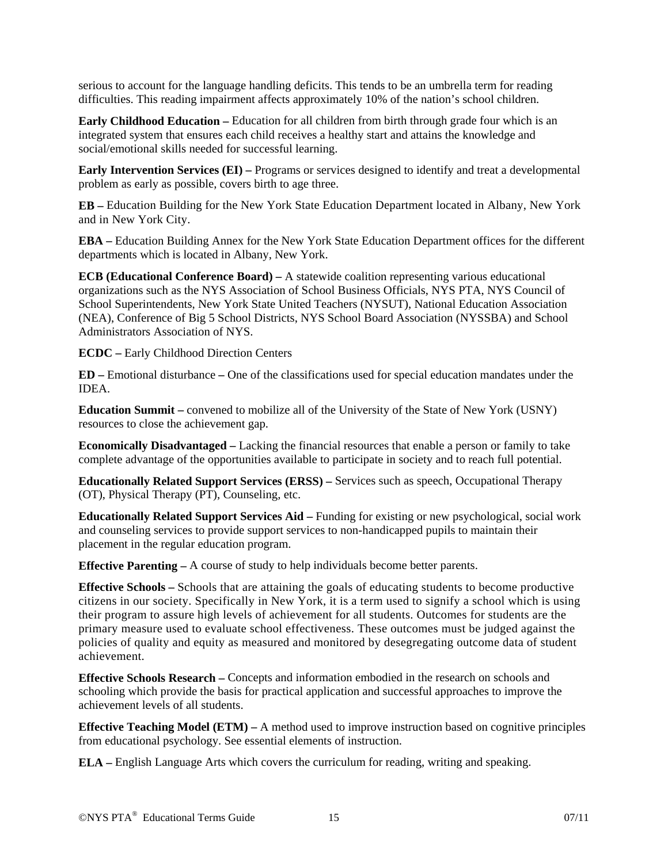serious to account for the language handling deficits. This tends to be an umbrella term for reading difficulties. This reading impairment affects approximately 10% of the nation's school children.

**Early Childhood Education –** Education for all children from birth through grade four which is an integrated system that ensures each child receives a healthy start and attains the knowledge and social/emotional skills needed for successful learning.

**Early Intervention Services (EI) –** Programs or services designed to identify and treat a developmental problem as early as possible, covers birth to age three.

**EB –** Education Building for the New York State Education Department located in Albany, New York and in New York City.

**EBA –** Education Building Annex for the New York State Education Department offices for the different departments which is located in Albany, New York.

**ECB (Educational Conference Board) –** A statewide coalition representing various educational organizations such as the NYS Association of School Business Officials, NYS PTA, NYS Council of School Superintendents, New York State United Teachers (NYSUT), National Education Association (NEA), Conference of Big 5 School Districts, NYS School Board Association (NYSSBA) and School Administrators Association of NYS.

**ECDC –** Early Childhood Direction Centers

**ED –** Emotional disturbance **–** One of the classifications used for special education mandates under the IDEA.

**Education Summit –** convened to mobilize all of the University of the State of New York (USNY) resources to close the achievement gap.

**Economically Disadvantaged –** Lacking the financial resources that enable a person or family to take complete advantage of the opportunities available to participate in society and to reach full potential.

**Educationally Related Support Services (ERSS) –** Services such as speech, Occupational Therapy (OT), Physical Therapy (PT), Counseling, etc.

**Educationally Related Support Services Aid – Funding for existing or new psychological, social work** and counseling services to provide support services to non-handicapped pupils to maintain their placement in the regular education program.

**Effective Parenting – A course of study to help individuals become better parents.** 

**Effective Schools –** Schools that are attaining the goals of educating students to become productive citizens in our society. Specifically in New York, it is a term used to signify a school which is using their program to assure high levels of achievement for all students. Outcomes for students are the primary measure used to evaluate school effectiveness. These outcomes must be judged against the policies of quality and equity as measured and monitored by desegregating outcome data of student achievement.

**Effective Schools Research –** Concepts and information embodied in the research on schools and schooling which provide the basis for practical application and successful approaches to improve the achievement levels of all students.

**Effective Teaching Model (ETM) – A method used to improve instruction based on cognitive principles** from educational psychology. See essential elements of instruction.

**ELA –** English Language Arts which covers the curriculum for reading, writing and speaking.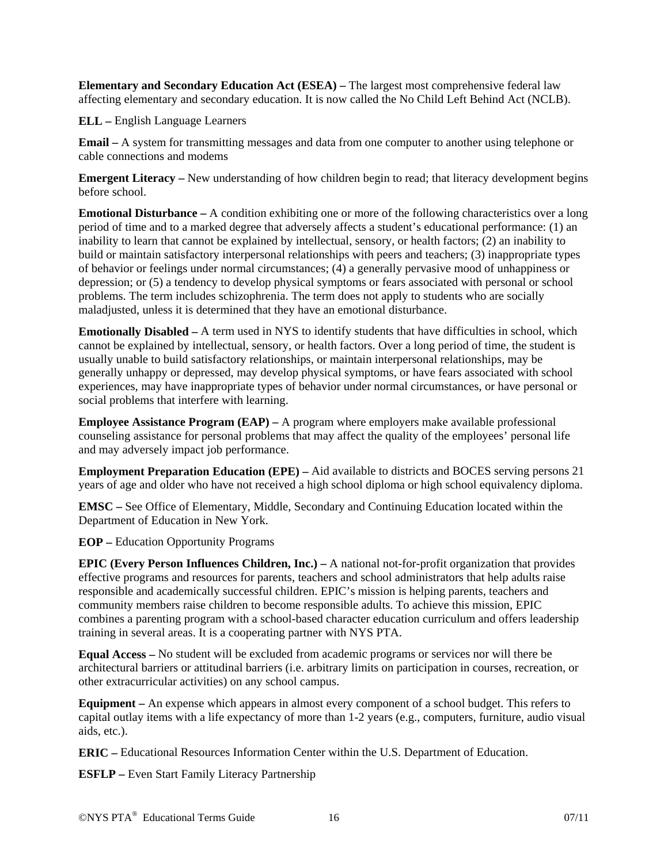**Elementary and Secondary Education Act (ESEA) –** The largest most comprehensive federal law affecting elementary and secondary education. It is now called the No Child Left Behind Act (NCLB).

**ELL –** English Language Learners

**Email –** A system for transmitting messages and data from one computer to another using telephone or cable connections and modems

**Emergent Literacy** – New understanding of how children begin to read; that literacy development begins before school.

**Emotional Disturbance –** A condition exhibiting one or more of the following characteristics over a long period of time and to a marked degree that adversely affects a student's educational performance: (1) an inability to learn that cannot be explained by intellectual, sensory, or health factors; (2) an inability to build or maintain satisfactory interpersonal relationships with peers and teachers; (3) inappropriate types of behavior or feelings under normal circumstances; (4) a generally pervasive mood of unhappiness or depression; or (5) a tendency to develop physical symptoms or fears associated with personal or school problems. The term includes schizophrenia. The term does not apply to students who are socially maladjusted, unless it is determined that they have an emotional disturbance.

**Emotionally Disabled –** A term used in NYS to identify students that have difficulties in school, which cannot be explained by intellectual, sensory, or health factors. Over a long period of time, the student is usually unable to build satisfactory relationships, or maintain interpersonal relationships, may be generally unhappy or depressed, may develop physical symptoms, or have fears associated with school experiences, may have inappropriate types of behavior under normal circumstances, or have personal or social problems that interfere with learning.

**Employee Assistance Program (EAP) – A program where employers make available professional** counseling assistance for personal problems that may affect the quality of the employees' personal life and may adversely impact job performance.

**Employment Preparation Education (EPE) –** Aid available to districts and BOCES serving persons 21 years of age and older who have not received a high school diploma or high school equivalency diploma.

**EMSC –** See Office of Elementary, Middle, Secondary and Continuing Education located within the Department of Education in New York.

**EOP –** Education Opportunity Programs

**EPIC (Every Person Influences Children, Inc.) – A national not-for-profit organization that provides** effective programs and resources for parents, teachers and school administrators that help adults raise responsible and academically successful children. EPIC's mission is helping parents, teachers and community members raise children to become responsible adults. To achieve this mission, EPIC combines a parenting program with a school-based character education curriculum and offers leadership training in several areas. It is a cooperating partner with NYS PTA.

**Equal Access –** No student will be excluded from academic programs or services nor will there be architectural barriers or attitudinal barriers (i.e. arbitrary limits on participation in courses, recreation, or other extracurricular activities) on any school campus.

**Equipment –** An expense which appears in almost every component of a school budget. This refers to capital outlay items with a life expectancy of more than 1-2 years (e.g., computers, furniture, audio visual aids, etc.).

**ERIC –** Educational Resources Information Center within the U.S. Department of Education.

**ESFLP –** Even Start Family Literacy Partnership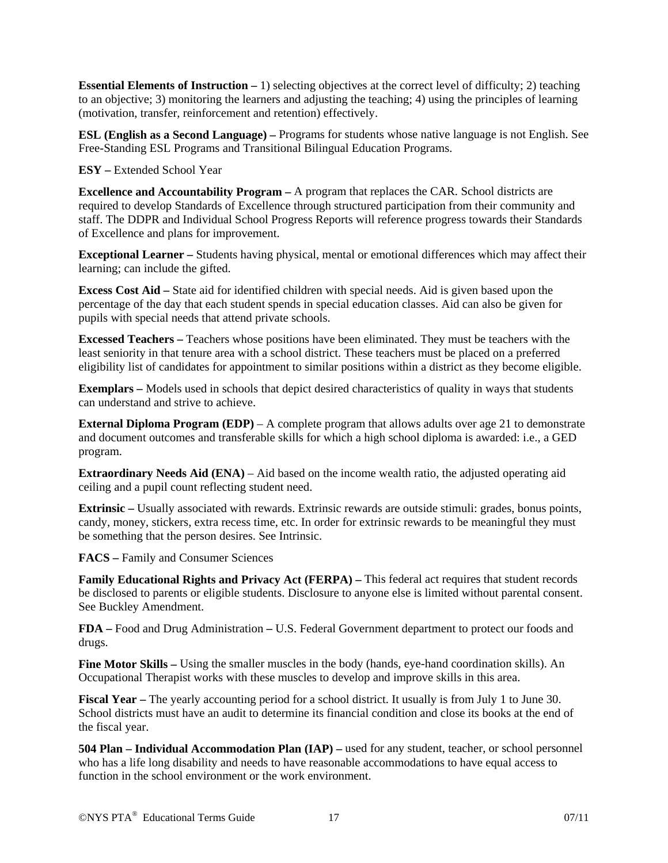**Essential Elements of Instruction –** 1) selecting objectives at the correct level of difficulty; 2) teaching to an objective; 3) monitoring the learners and adjusting the teaching; 4) using the principles of learning (motivation, transfer, reinforcement and retention) effectively.

**ESL (English as a Second Language) –** Programs for students whose native language is not English. See Free-Standing ESL Programs and Transitional Bilingual Education Programs.

**ESY –** Extended School Year

**Excellence and Accountability Program –** A program that replaces the CAR. School districts are required to develop Standards of Excellence through structured participation from their community and staff. The DDPR and Individual School Progress Reports will reference progress towards their Standards of Excellence and plans for improvement.

**Exceptional Learner –** Students having physical, mental or emotional differences which may affect their learning; can include the gifted.

**Excess Cost Aid –** State aid for identified children with special needs. Aid is given based upon the percentage of the day that each student spends in special education classes. Aid can also be given for pupils with special needs that attend private schools.

**Excessed Teachers –** Teachers whose positions have been eliminated. They must be teachers with the least seniority in that tenure area with a school district. These teachers must be placed on a preferred eligibility list of candidates for appointment to similar positions within a district as they become eligible.

**Exemplars –** Models used in schools that depict desired characteristics of quality in ways that students can understand and strive to achieve.

**External Diploma Program (EDP)** – A complete program that allows adults over age 21 to demonstrate and document outcomes and transferable skills for which a high school diploma is awarded: i.e., a GED program.

**Extraordinary Needs Aid (ENA)** – Aid based on the income wealth ratio, the adjusted operating aid ceiling and a pupil count reflecting student need.

**Extrinsic** – Usually associated with rewards. Extrinsic rewards are outside stimuli: grades, bonus points, candy, money, stickers, extra recess time, etc. In order for extrinsic rewards to be meaningful they must be something that the person desires. See Intrinsic.

**FACS –** Family and Consumer Sciences

Family Educational Rights and Privacy Act (FERPA) – This federal act requires that student records be disclosed to parents or eligible students. Disclosure to anyone else is limited without parental consent. See Buckley Amendment.

**FDA –** Food and Drug Administration **–** U.S. Federal Government department to protect our foods and drugs.

**Fine Motor Skills** – Using the smaller muscles in the body (hands, eye-hand coordination skills). An Occupational Therapist works with these muscles to develop and improve skills in this area.

**Fiscal Year –** The yearly accounting period for a school district. It usually is from July 1 to June 30. School districts must have an audit to determine its financial condition and close its books at the end of the fiscal year.

**504 Plan – Individual Accommodation Plan (IAP) –** used for any student, teacher, or school personnel who has a life long disability and needs to have reasonable accommodations to have equal access to function in the school environment or the work environment.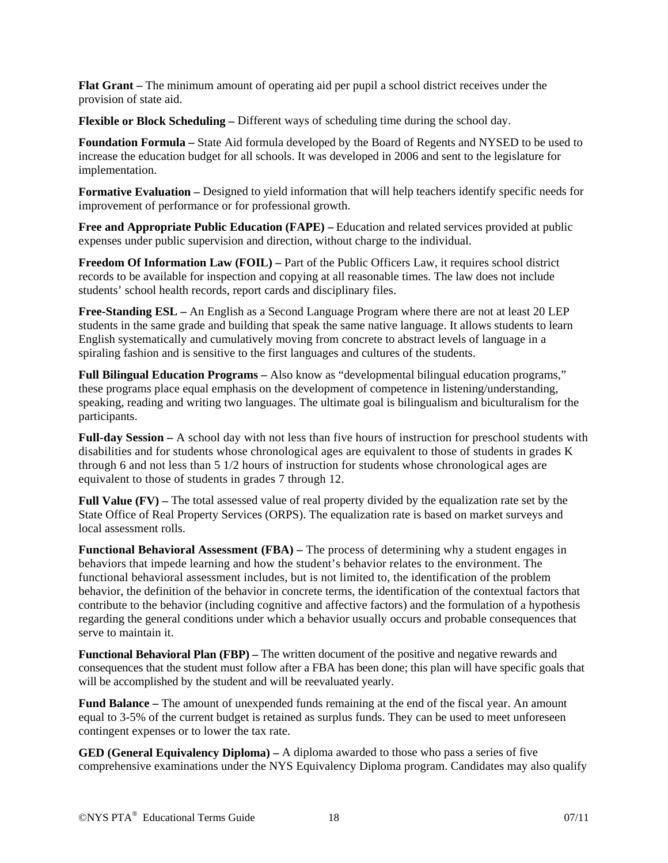**Flat Grant –** The minimum amount of operating aid per pupil a school district receives under the provision of state aid.

**Flexible or Block Scheduling –** Different ways of scheduling time during the school day.

**Foundation Formula –** State Aid formula developed by the Board of Regents and NYSED to be used to increase the education budget for all schools. It was developed in 2006 and sent to the legislature for implementation.

**Formative Evaluation –** Designed to yield information that will help teachers identify specific needs for improvement of performance or for professional growth.

**Free and Appropriate Public Education (FAPE) –** Education and related services provided at public expenses under public supervision and direction, without charge to the individual.

**Freedom Of Information Law (FOIL) –** Part of the Public Officers Law, it requires school district records to be available for inspection and copying at all reasonable times. The law does not include students' school health records, report cards and disciplinary files.

**Free-Standing ESL –** An English as a Second Language Program where there are not at least 20 LEP students in the same grade and building that speak the same native language. It allows students to learn English systematically and cumulatively moving from concrete to abstract levels of language in a spiraling fashion and is sensitive to the first languages and cultures of the students.

**Full Bilingual Education Programs –** Also know as "developmental bilingual education programs," these programs place equal emphasis on the development of competence in listening/understanding, speaking, reading and writing two languages. The ultimate goal is bilingualism and biculturalism for the participants.

**Full-day Session –** A school day with not less than five hours of instruction for preschool students with disabilities and for students whose chronological ages are equivalent to those of students in grades K through 6 and not less than 5 1/2 hours of instruction for students whose chronological ages are equivalent to those of students in grades 7 through 12.

**Full Value (FV)** – The total assessed value of real property divided by the equalization rate set by the State Office of Real Property Services (ORPS). The equalization rate is based on market surveys and local assessment rolls.

**Functional Behavioral Assessment (FBA)** – The process of determining why a student engages in behaviors that impede learning and how the student's behavior relates to the environment. The functional behavioral assessment includes, but is not limited to, the identification of the problem behavior, the definition of the behavior in concrete terms, the identification of the contextual factors that contribute to the behavior (including cognitive and affective factors) and the formulation of a hypothesis regarding the general conditions under which a behavior usually occurs and probable consequences that serve to maintain it.

**Functional Behavioral Plan (FBP) –** The written document of the positive and negative rewards and consequences that the student must follow after a FBA has been done; this plan will have specific goals that will be accomplished by the student and will be reevaluated yearly.

**Fund Balance –** The amount of unexpended funds remaining at the end of the fiscal year. An amount equal to 3-5% of the current budget is retained as surplus funds. They can be used to meet unforeseen contingent expenses or to lower the tax rate.

**GED (General Equivalency Diploma) –** A diploma awarded to those who pass a series of five comprehensive examinations under the NYS Equivalency Diploma program. Candidates may also qualify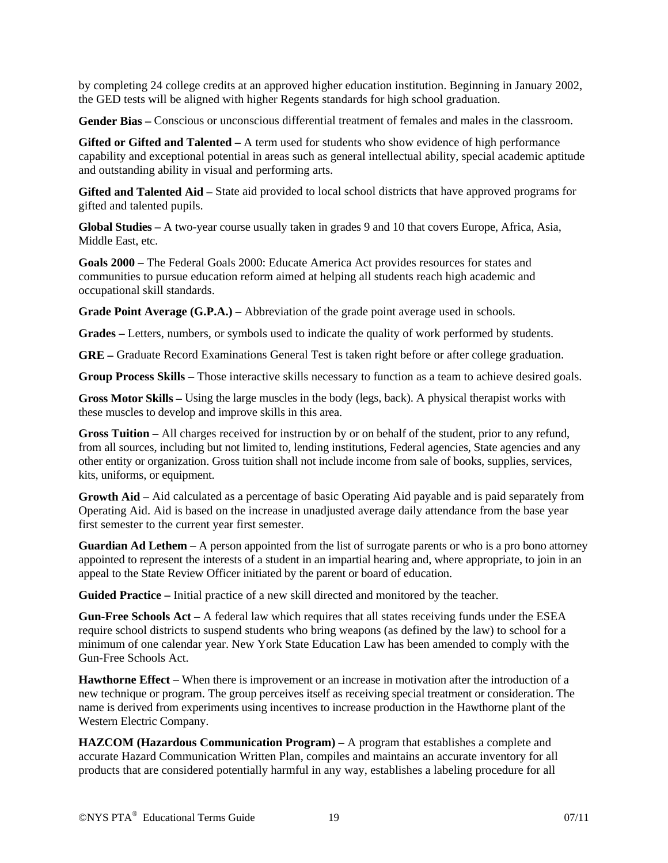by completing 24 college credits at an approved higher education institution. Beginning in January 2002, the GED tests will be aligned with higher Regents standards for high school graduation.

**Gender Bias –** Conscious or unconscious differential treatment of females and males in the classroom.

**Gifted or Gifted and Talented –** A term used for students who show evidence of high performance capability and exceptional potential in areas such as general intellectual ability, special academic aptitude and outstanding ability in visual and performing arts.

**Gifted and Talented Aid –** State aid provided to local school districts that have approved programs for gifted and talented pupils.

**Global Studies –** A two-year course usually taken in grades 9 and 10 that covers Europe, Africa, Asia, Middle East, etc.

**Goals 2000 –** The Federal Goals 2000: Educate America Act provides resources for states and communities to pursue education reform aimed at helping all students reach high academic and occupational skill standards.

**Grade Point Average (G.P.A.) – Abbreviation of the grade point average used in schools.** 

**Grades –** Letters, numbers, or symbols used to indicate the quality of work performed by students.

**GRE –** Graduate Record Examinations General Test is taken right before or after college graduation.

**Group Process Skills –** Those interactive skills necessary to function as a team to achieve desired goals.

**Gross Motor Skills –** Using the large muscles in the body (legs, back). A physical therapist works with these muscles to develop and improve skills in this area.

**Gross Tuition –** All charges received for instruction by or on behalf of the student, prior to any refund, from all sources, including but not limited to, lending institutions, Federal agencies, State agencies and any other entity or organization. Gross tuition shall not include income from sale of books, supplies, services, kits, uniforms, or equipment.

**Growth Aid –** Aid calculated as a percentage of basic Operating Aid payable and is paid separately from Operating Aid. Aid is based on the increase in unadjusted average daily attendance from the base year first semester to the current year first semester.

**Guardian Ad Lethem –** A person appointed from the list of surrogate parents or who is a pro bono attorney appointed to represent the interests of a student in an impartial hearing and, where appropriate, to join in an appeal to the State Review Officer initiated by the parent or board of education.

**Guided Practice –** Initial practice of a new skill directed and monitored by the teacher.

**Gun-Free Schools Act –** A federal law which requires that all states receiving funds under the ESEA require school districts to suspend students who bring weapons (as defined by the law) to school for a minimum of one calendar year. New York State Education Law has been amended to comply with the Gun-Free Schools Act.

**Hawthorne Effect –** When there is improvement or an increase in motivation after the introduction of a new technique or program. The group perceives itself as receiving special treatment or consideration. The name is derived from experiments using incentives to increase production in the Hawthorne plant of the Western Electric Company.

**HAZCOM (Hazardous Communication Program) –** A program that establishes a complete and accurate Hazard Communication Written Plan, compiles and maintains an accurate inventory for all products that are considered potentially harmful in any way, establishes a labeling procedure for all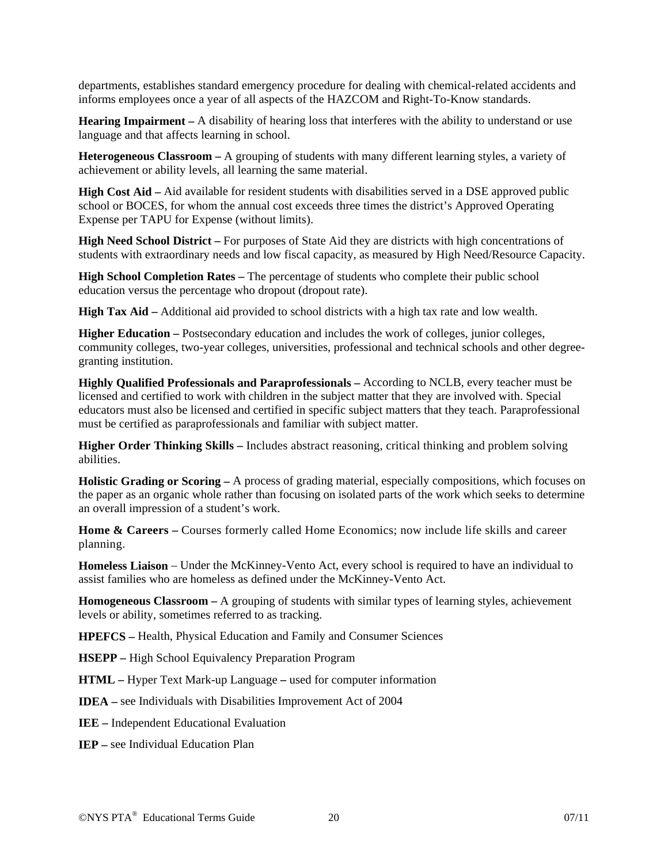departments, establishes standard emergency procedure for dealing with chemical-related accidents and informs employees once a year of all aspects of the HAZCOM and Right-To-Know standards.

**Hearing Impairment –** A disability of hearing loss that interferes with the ability to understand or use language and that affects learning in school.

**Heterogeneous Classroom –** A grouping of students with many different learning styles, a variety of achievement or ability levels, all learning the same material.

**High Cost Aid –** Aid available for resident students with disabilities served in a DSE approved public school or BOCES, for whom the annual cost exceeds three times the district's Approved Operating Expense per TAPU for Expense (without limits).

**High Need School District –** For purposes of State Aid they are districts with high concentrations of students with extraordinary needs and low fiscal capacity, as measured by High Need/Resource Capacity.

**High School Completion Rates –** The percentage of students who complete their public school education versus the percentage who dropout (dropout rate).

**High Tax Aid –** Additional aid provided to school districts with a high tax rate and low wealth.

**Higher Education –** Postsecondary education and includes the work of colleges, junior colleges, community colleges, two-year colleges, universities, professional and technical schools and other degreegranting institution.

**Highly Qualified Professionals and Paraprofessionals –** According to NCLB, every teacher must be licensed and certified to work with children in the subject matter that they are involved with. Special educators must also be licensed and certified in specific subject matters that they teach. Paraprofessional must be certified as paraprofessionals and familiar with subject matter.

**Higher Order Thinking Skills –** Includes abstract reasoning, critical thinking and problem solving abilities.

**Holistic Grading or Scoring –** A process of grading material, especially compositions, which focuses on the paper as an organic whole rather than focusing on isolated parts of the work which seeks to determine an overall impression of a student's work.

**Home & Careers – Courses formerly called Home Economics; now include life skills and career** planning.

**Homeless Liaison** – Under the McKinney-Vento Act, every school is required to have an individual to assist families who are homeless as defined under the McKinney-Vento Act.

**Homogeneous Classroom –** A grouping of students with similar types of learning styles, achievement levels or ability, sometimes referred to as tracking.

**HPEFCS –** Health, Physical Education and Family and Consumer Sciences

**HSEPP –** High School Equivalency Preparation Program

**HTML –** Hyper Text Mark-up Language **–** used for computer information

**IDEA –** see Individuals with Disabilities Improvement Act of 2004

**IEE –** Independent Educational Evaluation

**IEP –** see Individual Education Plan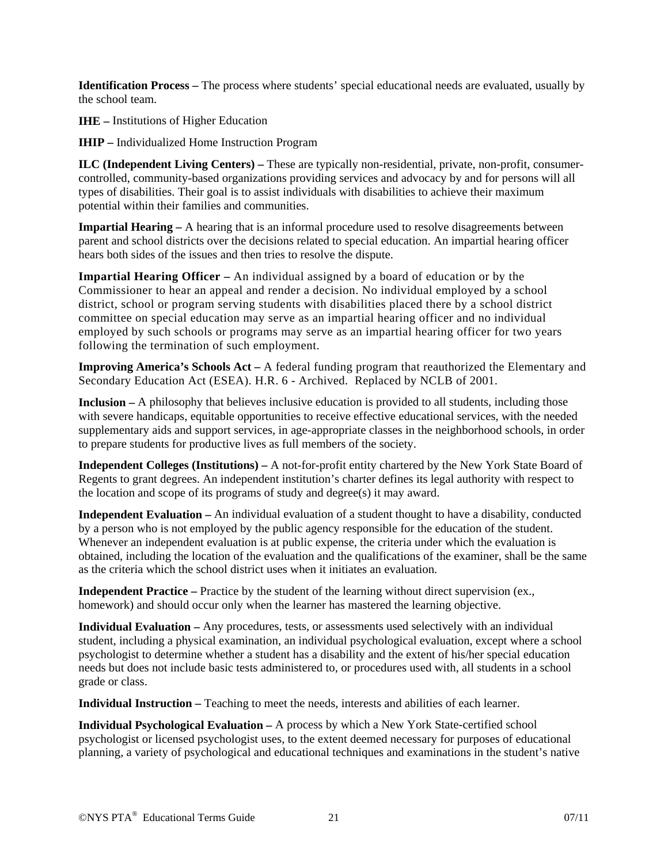**Identification Process –** The process where students' special educational needs are evaluated, usually by the school team.

**IHE –** Institutions of Higher Education

**IHIP –** Individualized Home Instruction Program

**ILC (Independent Living Centers) –** These are typically non-residential, private, non-profit, consumercontrolled, community-based organizations providing services and advocacy by and for persons will all types of disabilities. Their goal is to assist individuals with disabilities to achieve their maximum potential within their families and communities.

**Impartial Hearing – A hearing that is an informal procedure used to resolve disagreements between** parent and school districts over the decisions related to special education. An impartial hearing officer hears both sides of the issues and then tries to resolve the dispute.

**Impartial Hearing Officer –** An individual assigned by a board of education or by the Commissioner to hear an appeal and render a decision. No individual employed by a school district, school or program serving students with disabilities placed there by a school district committee on special education may serve as an impartial hearing officer and no individual employed by such schools or programs may serve as an impartial hearing officer for two years following the termination of such employment.

**Improving America's Schools Act –** A federal funding program that reauthorized the Elementary and Secondary Education Act (ESEA). H.R. 6 - Archived. Replaced by NCLB of 2001.

**Inclusion –** A philosophy that believes inclusive education is provided to all students, including those with severe handicaps, equitable opportunities to receive effective educational services, with the needed supplementary aids and support services, in age-appropriate classes in the neighborhood schools, in order to prepare students for productive lives as full members of the society.

**Independent Colleges (Institutions) –** A not-for-profit entity chartered by the New York State Board of Regents to grant degrees. An independent institution's charter defines its legal authority with respect to the location and scope of its programs of study and degree(s) it may award.

**Independent Evaluation –** An individual evaluation of a student thought to have a disability, conducted by a person who is not employed by the public agency responsible for the education of the student. Whenever an independent evaluation is at public expense, the criteria under which the evaluation is obtained, including the location of the evaluation and the qualifications of the examiner, shall be the same as the criteria which the school district uses when it initiates an evaluation.

**Independent Practice –** Practice by the student of the learning without direct supervision (ex., homework) and should occur only when the learner has mastered the learning objective.

**Individual Evaluation –** Any procedures, tests, or assessments used selectively with an individual student, including a physical examination, an individual psychological evaluation, except where a school psychologist to determine whether a student has a disability and the extent of his/her special education needs but does not include basic tests administered to, or procedures used with, all students in a school grade or class.

**Individual Instruction –** Teaching to meet the needs, interests and abilities of each learner.

**Individual Psychological Evaluation –** A process by which a New York State-certified school psychologist or licensed psychologist uses, to the extent deemed necessary for purposes of educational planning, a variety of psychological and educational techniques and examinations in the student's native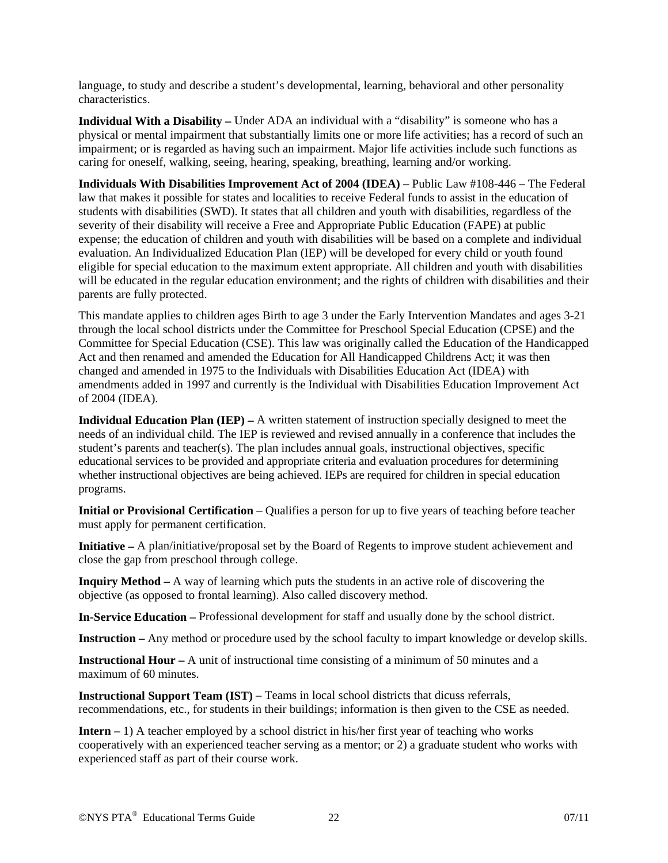language, to study and describe a student's developmental, learning, behavioral and other personality characteristics.

**Individual With a Disability –** Under ADA an individual with a "disability" is someone who has a physical or mental impairment that substantially limits one or more life activities; has a record of such an impairment; or is regarded as having such an impairment. Major life activities include such functions as caring for oneself, walking, seeing, hearing, speaking, breathing, learning and/or working.

**Individuals With Disabilities Improvement Act of 2004 (IDEA) –** Public Law #108-446 **–** The Federal law that makes it possible for states and localities to receive Federal funds to assist in the education of students with disabilities (SWD). It states that all children and youth with disabilities, regardless of the severity of their disability will receive a Free and Appropriate Public Education (FAPE) at public expense; the education of children and youth with disabilities will be based on a complete and individual evaluation. An Individualized Education Plan (IEP) will be developed for every child or youth found eligible for special education to the maximum extent appropriate. All children and youth with disabilities will be educated in the regular education environment; and the rights of children with disabilities and their parents are fully protected.

This mandate applies to children ages Birth to age 3 under the Early Intervention Mandates and ages 3-21 through the local school districts under the Committee for Preschool Special Education (CPSE) and the Committee for Special Education (CSE). This law was originally called the Education of the Handicapped Act and then renamed and amended the Education for All Handicapped Childrens Act; it was then changed and amended in 1975 to the Individuals with Disabilities Education Act (IDEA) with amendments added in 1997 and currently is the Individual with Disabilities Education Improvement Act of 2004 (IDEA).

**Individual Education Plan (IEP)** – A written statement of instruction specially designed to meet the needs of an individual child. The IEP is reviewed and revised annually in a conference that includes the student's parents and teacher(s). The plan includes annual goals, instructional objectives, specific educational services to be provided and appropriate criteria and evaluation procedures for determining whether instructional objectives are being achieved. IEPs are required for children in special education programs.

**Initial or Provisional Certification** – Qualifies a person for up to five years of teaching before teacher must apply for permanent certification.

**Initiative –** A plan/initiative/proposal set by the Board of Regents to improve student achievement and close the gap from preschool through college.

**Inquiry Method –** A way of learning which puts the students in an active role of discovering the objective (as opposed to frontal learning). Also called discovery method.

**In-Service Education –** Professional development for staff and usually done by the school district.

**Instruction –** Any method or procedure used by the school faculty to impart knowledge or develop skills.

**Instructional Hour** – A unit of instructional time consisting of a minimum of 50 minutes and a maximum of 60 minutes.

**Instructional Support Team (IST)** – Teams in local school districts that dicuss referrals, recommendations, etc., for students in their buildings; information is then given to the CSE as needed.

**Intern –** 1) A teacher employed by a school district in his/her first year of teaching who works cooperatively with an experienced teacher serving as a mentor; or 2) a graduate student who works with experienced staff as part of their course work.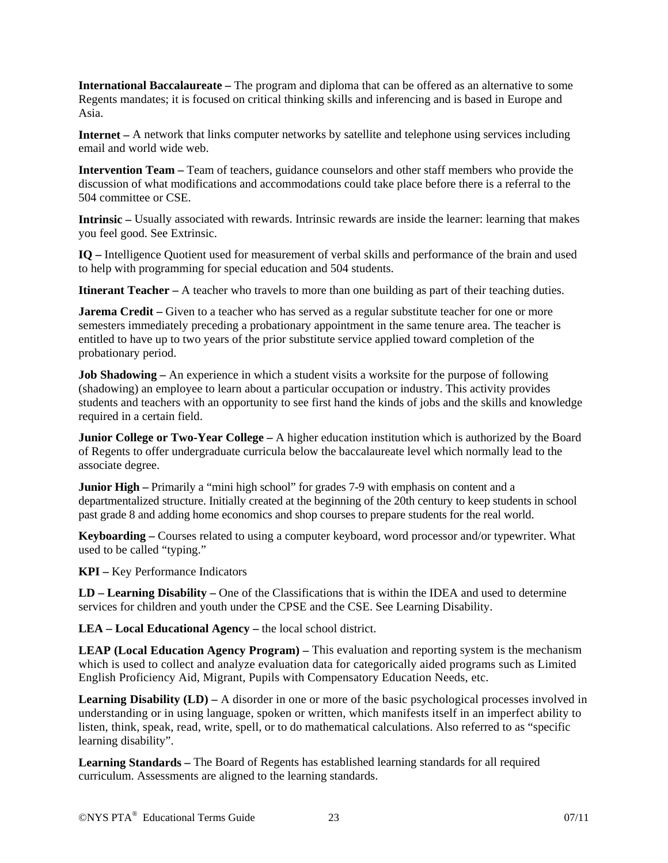**International Baccalaureate –** The program and diploma that can be offered as an alternative to some Regents mandates; it is focused on critical thinking skills and inferencing and is based in Europe and Asia.

**Internet –** A network that links computer networks by satellite and telephone using services including email and world wide web.

**Intervention Team –** Team of teachers, guidance counselors and other staff members who provide the discussion of what modifications and accommodations could take place before there is a referral to the 504 committee or CSE.

**Intrinsic –** Usually associated with rewards. Intrinsic rewards are inside the learner: learning that makes you feel good. See Extrinsic.

**IQ –** Intelligence Quotient used for measurement of verbal skills and performance of the brain and used to help with programming for special education and 504 students.

**Itinerant Teacher –** A teacher who travels to more than one building as part of their teaching duties.

**Jarema Credit** – Given to a teacher who has served as a regular substitute teacher for one or more semesters immediately preceding a probationary appointment in the same tenure area. The teacher is entitled to have up to two years of the prior substitute service applied toward completion of the probationary period.

**Job Shadowing –** An experience in which a student visits a worksite for the purpose of following (shadowing) an employee to learn about a particular occupation or industry. This activity provides students and teachers with an opportunity to see first hand the kinds of jobs and the skills and knowledge required in a certain field.

**Junior College or Two-Year College – A higher education institution which is authorized by the Board** of Regents to offer undergraduate curricula below the baccalaureate level which normally lead to the associate degree.

**Junior High** – Primarily a "mini high school" for grades 7-9 with emphasis on content and a departmentalized structure. Initially created at the beginning of the 20th century to keep students in school past grade 8 and adding home economics and shop courses to prepare students for the real world.

**Keyboarding –** Courses related to using a computer keyboard, word processor and/or typewriter. What used to be called "typing."

**KPI –** Key Performance Indicators

**LD – Learning Disability –** One of the Classifications that is within the IDEA and used to determine services for children and youth under the CPSE and the CSE. See Learning Disability.

**LEA – Local Educational Agency –** the local school district.

**LEAP (Local Education Agency Program) –** This evaluation and reporting system is the mechanism which is used to collect and analyze evaluation data for categorically aided programs such as Limited English Proficiency Aid, Migrant, Pupils with Compensatory Education Needs, etc.

**Learning Disability (LD) – A** disorder in one or more of the basic psychological processes involved in understanding or in using language, spoken or written, which manifests itself in an imperfect ability to listen, think, speak, read, write, spell, or to do mathematical calculations. Also referred to as "specific learning disability".

**Learning Standards –** The Board of Regents has established learning standards for all required curriculum. Assessments are aligned to the learning standards.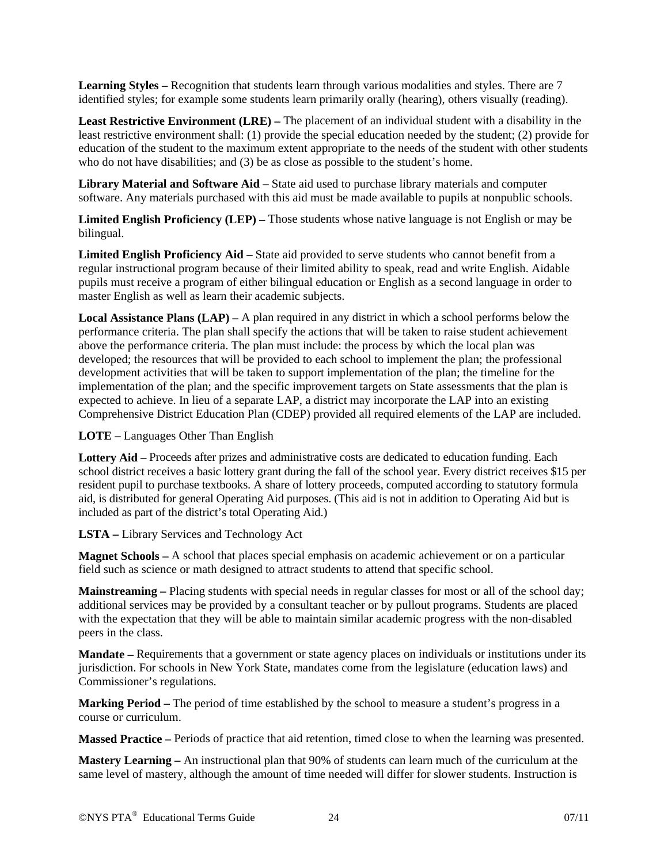**Learning Styles** – Recognition that students learn through various modalities and styles. There are 7 identified styles; for example some students learn primarily orally (hearing), others visually (reading).

**Least Restrictive Environment (LRE) –** The placement of an individual student with a disability in the least restrictive environment shall: (1) provide the special education needed by the student; (2) provide for education of the student to the maximum extent appropriate to the needs of the student with other students who do not have disabilities; and (3) be as close as possible to the student's home.

**Library Material and Software Aid –** State aid used to purchase library materials and computer software. Any materials purchased with this aid must be made available to pupils at nonpublic schools.

**Limited English Proficiency (LEP) –** Those students whose native language is not English or may be bilingual.

**Limited English Proficiency Aid –** State aid provided to serve students who cannot benefit from a regular instructional program because of their limited ability to speak, read and write English. Aidable pupils must receive a program of either bilingual education or English as a second language in order to master English as well as learn their academic subjects.

**Local Assistance Plans (LAP) –** A plan required in any district in which a school performs below the performance criteria. The plan shall specify the actions that will be taken to raise student achievement above the performance criteria. The plan must include: the process by which the local plan was developed; the resources that will be provided to each school to implement the plan; the professional development activities that will be taken to support implementation of the plan; the timeline for the implementation of the plan; and the specific improvement targets on State assessments that the plan is expected to achieve. In lieu of a separate LAP, a district may incorporate the LAP into an existing Comprehensive District Education Plan (CDEP) provided all required elements of the LAP are included.

**LOTE –** Languages Other Than English

**Lottery Aid –** Proceeds after prizes and administrative costs are dedicated to education funding. Each school district receives a basic lottery grant during the fall of the school year. Every district receives \$15 per resident pupil to purchase textbooks. A share of lottery proceeds, computed according to statutory formula aid, is distributed for general Operating Aid purposes. (This aid is not in addition to Operating Aid but is included as part of the district's total Operating Aid.)

**LSTA –** Library Services and Technology Act

**Magnet Schools –** A school that places special emphasis on academic achievement or on a particular field such as science or math designed to attract students to attend that specific school.

**Mainstreaming –** Placing students with special needs in regular classes for most or all of the school day; additional services may be provided by a consultant teacher or by pullout programs. Students are placed with the expectation that they will be able to maintain similar academic progress with the non-disabled peers in the class.

**Mandate –** Requirements that a government or state agency places on individuals or institutions under its jurisdiction. For schools in New York State, mandates come from the legislature (education laws) and Commissioner's regulations.

**Marking Period –** The period of time established by the school to measure a student's progress in a course or curriculum.

**Massed Practice –** Periods of practice that aid retention, timed close to when the learning was presented.

**Mastery Learning –** An instructional plan that 90% of students can learn much of the curriculum at the same level of mastery, although the amount of time needed will differ for slower students. Instruction is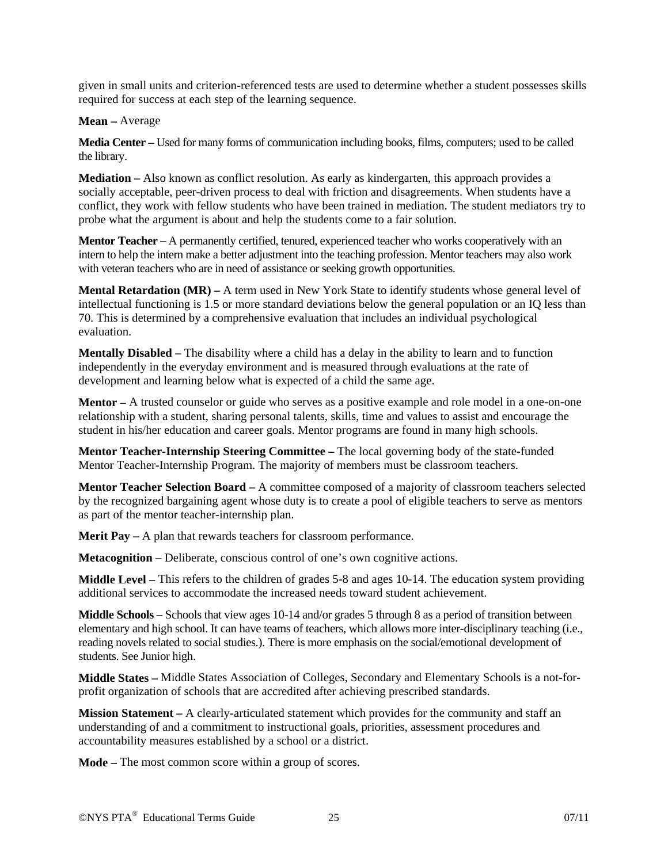given in small units and criterion-referenced tests are used to determine whether a student possesses skills required for success at each step of the learning sequence.

## **Mean –** Average

**Media Center –** Used for many forms of communication including books, films, computers; used to be called the library.

**Mediation –** Also known as conflict resolution. As early as kindergarten, this approach provides a socially acceptable, peer-driven process to deal with friction and disagreements. When students have a conflict, they work with fellow students who have been trained in mediation. The student mediators try to probe what the argument is about and help the students come to a fair solution.

**Mentor Teacher –** A permanently certified, tenured, experienced teacher who works cooperatively with an intern to help the intern make a better adjustment into the teaching profession. Mentor teachers may also work with veteran teachers who are in need of assistance or seeking growth opportunities.

**Mental Retardation (MR) –** A term used in New York State to identify students whose general level of intellectual functioning is 1.5 or more standard deviations below the general population or an IQ less than 70. This is determined by a comprehensive evaluation that includes an individual psychological evaluation.

**Mentally Disabled –** The disability where a child has a delay in the ability to learn and to function independently in the everyday environment and is measured through evaluations at the rate of development and learning below what is expected of a child the same age.

**Mentor –** A trusted counselor or guide who serves as a positive example and role model in a one-on-one relationship with a student, sharing personal talents, skills, time and values to assist and encourage the student in his/her education and career goals. Mentor programs are found in many high schools.

**Mentor Teacher-Internship Steering Committee –** The local governing body of the state-funded Mentor Teacher-Internship Program. The majority of members must be classroom teachers.

**Mentor Teacher Selection Board –** A committee composed of a majority of classroom teachers selected by the recognized bargaining agent whose duty is to create a pool of eligible teachers to serve as mentors as part of the mentor teacher-internship plan.

**Merit Pay** – A plan that rewards teachers for classroom performance.

**Metacognition –** Deliberate, conscious control of one's own cognitive actions.

**Middle Level –** This refers to the children of grades 5-8 and ages 10-14. The education system providing additional services to accommodate the increased needs toward student achievement.

**Middle Schools –** Schools that view ages 10-14 and/or grades 5 through 8 as a period of transition between elementary and high school. It can have teams of teachers, which allows more inter-disciplinary teaching (i.e., reading novels related to social studies.). There is more emphasis on the social/emotional development of students. See Junior high.

**Middle States –** Middle States Association of Colleges, Secondary and Elementary Schools is a not-forprofit organization of schools that are accredited after achieving prescribed standards.

**Mission Statement –** A clearly-articulated statement which provides for the community and staff an understanding of and a commitment to instructional goals, priorities, assessment procedures and accountability measures established by a school or a district.

**Mode –** The most common score within a group of scores.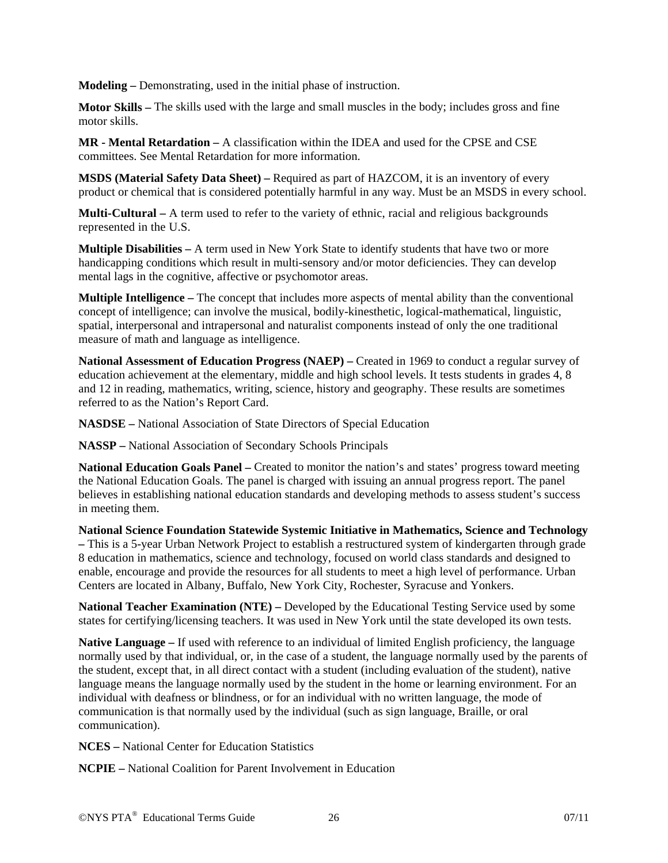**Modeling –** Demonstrating, used in the initial phase of instruction.

**Motor Skills –** The skills used with the large and small muscles in the body; includes gross and fine motor skills.

**MR - Mental Retardation –** A classification within the IDEA and used for the CPSE and CSE committees. See Mental Retardation for more information.

**MSDS (Material Safety Data Sheet) –** Required as part of HAZCOM, it is an inventory of every product or chemical that is considered potentially harmful in any way. Must be an MSDS in every school.

**Multi-Cultural –** A term used to refer to the variety of ethnic, racial and religious backgrounds represented in the U.S.

**Multiple Disabilities –** A term used in New York State to identify students that have two or more handicapping conditions which result in multi-sensory and/or motor deficiencies. They can develop mental lags in the cognitive, affective or psychomotor areas.

**Multiple Intelligence –** The concept that includes more aspects of mental ability than the conventional concept of intelligence; can involve the musical, bodily-kinesthetic, logical-mathematical, linguistic, spatial, interpersonal and intrapersonal and naturalist components instead of only the one traditional measure of math and language as intelligence.

**National Assessment of Education Progress (NAEP) – Created in 1969 to conduct a regular survey of** education achievement at the elementary, middle and high school levels. It tests students in grades 4, 8 and 12 in reading, mathematics, writing, science, history and geography. These results are sometimes referred to as the Nation's Report Card.

**NASDSE –** National Association of State Directors of Special Education

**NASSP –** National Association of Secondary Schools Principals

**National Education Goals Panel –** Created to monitor the nation's and states' progress toward meeting the National Education Goals. The panel is charged with issuing an annual progress report. The panel believes in establishing national education standards and developing methods to assess student's success in meeting them.

**National Science Foundation Statewide Systemic Initiative in Mathematics, Science and Technology –** This is a 5-year Urban Network Project to establish a restructured system of kindergarten through grade 8 education in mathematics, science and technology, focused on world class standards and designed to enable, encourage and provide the resources for all students to meet a high level of performance. Urban Centers are located in Albany, Buffalo, New York City, Rochester, Syracuse and Yonkers.

**National Teacher Examination (NTE) –** Developed by the Educational Testing Service used by some states for certifying/licensing teachers. It was used in New York until the state developed its own tests.

**Native Language –** If used with reference to an individual of limited English proficiency, the language normally used by that individual, or, in the case of a student, the language normally used by the parents of the student, except that, in all direct contact with a student (including evaluation of the student), native language means the language normally used by the student in the home or learning environment. For an individual with deafness or blindness, or for an individual with no written language, the mode of communication is that normally used by the individual (such as sign language, Braille, or oral communication).

**NCES –** National Center for Education Statistics

**NCPIE –** National Coalition for Parent Involvement in Education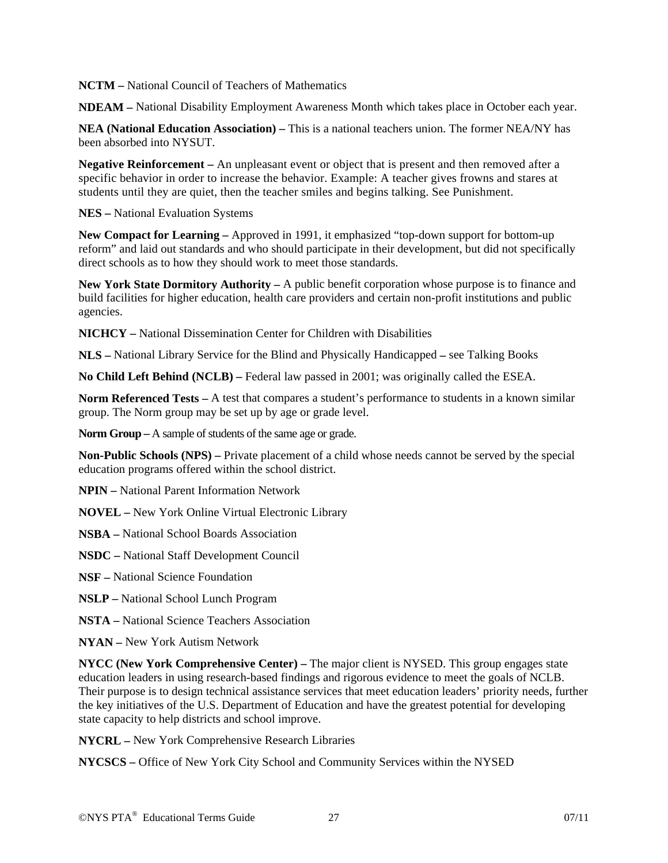**NCTM –** National Council of Teachers of Mathematics

**NDEAM –** National Disability Employment Awareness Month which takes place in October each year.

**NEA (National Education Association) –** This is a national teachers union. The former NEA/NY has been absorbed into NYSUT.

**Negative Reinforcement –** An unpleasant event or object that is present and then removed after a specific behavior in order to increase the behavior. Example: A teacher gives frowns and stares at students until they are quiet, then the teacher smiles and begins talking. See Punishment.

**NES –** National Evaluation Systems

**New Compact for Learning –** Approved in 1991, it emphasized "top-down support for bottom-up reform" and laid out standards and who should participate in their development, but did not specifically direct schools as to how they should work to meet those standards.

**New York State Dormitory Authority –** A public benefit corporation whose purpose is to finance and build facilities for higher education, health care providers and certain non-profit institutions and public agencies.

**NICHCY –** National Dissemination Center for Children with Disabilities

**NLS –** National Library Service for the Blind and Physically Handicapped **–** see Talking Books

**No Child Left Behind (NCLB) –** Federal law passed in 2001; was originally called the ESEA.

**Norm Referenced Tests – A test that compares a student's performance to students in a known similar** group. The Norm group may be set up by age or grade level.

**Norm Group –** A sample of students of the same age or grade.

**Non-Public Schools (NPS) –** Private placement of a child whose needs cannot be served by the special education programs offered within the school district.

**NPIN –** National Parent Information Network

**NOVEL –** New York Online Virtual Electronic Library

**NSBA –** National School Boards Association

**NSDC –** National Staff Development Council

**NSF –** National Science Foundation

**NSLP –** National School Lunch Program

**NSTA –** National Science Teachers Association

**NYAN –** New York Autism Network

**NYCC (New York Comprehensive Center) –** The major client is NYSED. This group engages state education leaders in using research-based findings and rigorous evidence to meet the goals of NCLB. Their purpose is to design technical assistance services that meet education leaders' priority needs, further the key initiatives of the U.S. Department of Education and have the greatest potential for developing state capacity to help districts and school improve.

**NYCRL –** New York Comprehensive Research Libraries

**NYCSCS –** Office of New York City School and Community Services within the NYSED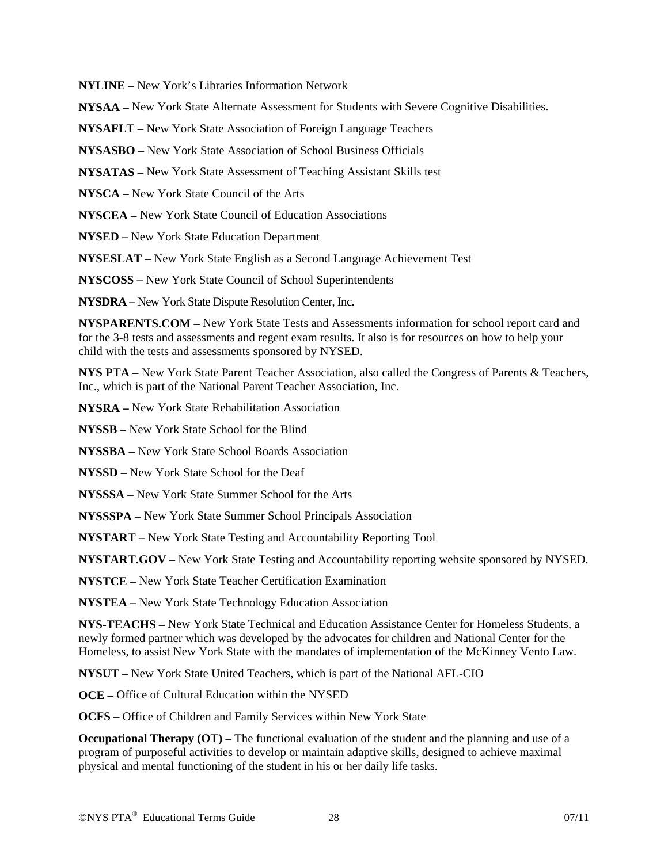**NYLINE –** New York's Libraries Information Network

**NYSAA –** New York State Alternate Assessment for Students with Severe Cognitive Disabilities.

**NYSAFLT –** New York State Association of Foreign Language Teachers

**NYSASBO –** New York State Association of School Business Officials

**NYSATAS –** New York State Assessment of Teaching Assistant Skills test

**NYSCA –** New York State Council of the Arts

**NYSCEA –** New York State Council of Education Associations

**NYSED –** New York State Education Department

**NYSESLAT –** New York State English as a Second Language Achievement Test

**NYSCOSS –** New York State Council of School Superintendents

**NYSDRA –** New York State Dispute Resolution Center, Inc.

**NYSPARENTS.COM –** New York State Tests and Assessments information for school report card and for the 3-8 tests and assessments and regent exam results. It also is for resources on how to help your child with the tests and assessments sponsored by NYSED.

**NYS PTA –** New York State Parent Teacher Association, also called the Congress of Parents & Teachers, Inc., which is part of the National Parent Teacher Association, Inc.

**NYSRA –** New York State Rehabilitation Association

**NYSSB –** New York State School for the Blind

**NYSSBA –** New York State School Boards Association

**NYSSD –** New York State School for the Deaf

**NYSSSA –** New York State Summer School for the Arts

**NYSSSPA –** New York State Summer School Principals Association

**NYSTART –** New York State Testing and Accountability Reporting Tool

**NYSTART.GOV –** New York State Testing and Accountability reporting website sponsored by NYSED.

**NYSTCE –** New York State Teacher Certification Examination

**NYSTEA –** New York State Technology Education Association

**NYS-TEACHS –** New York State Technical and Education Assistance Center for Homeless Students, a newly formed partner which was developed by the advocates for children and National Center for the Homeless, to assist New York State with the mandates of implementation of the McKinney Vento Law.

**NYSUT –** New York State United Teachers, which is part of the National AFL-CIO

**OCE –** Office of Cultural Education within the NYSED

**OCFS –** Office of Children and Family Services within New York State

**Occupational Therapy (OT)** – The functional evaluation of the student and the planning and use of a program of purposeful activities to develop or maintain adaptive skills, designed to achieve maximal physical and mental functioning of the student in his or her daily life tasks.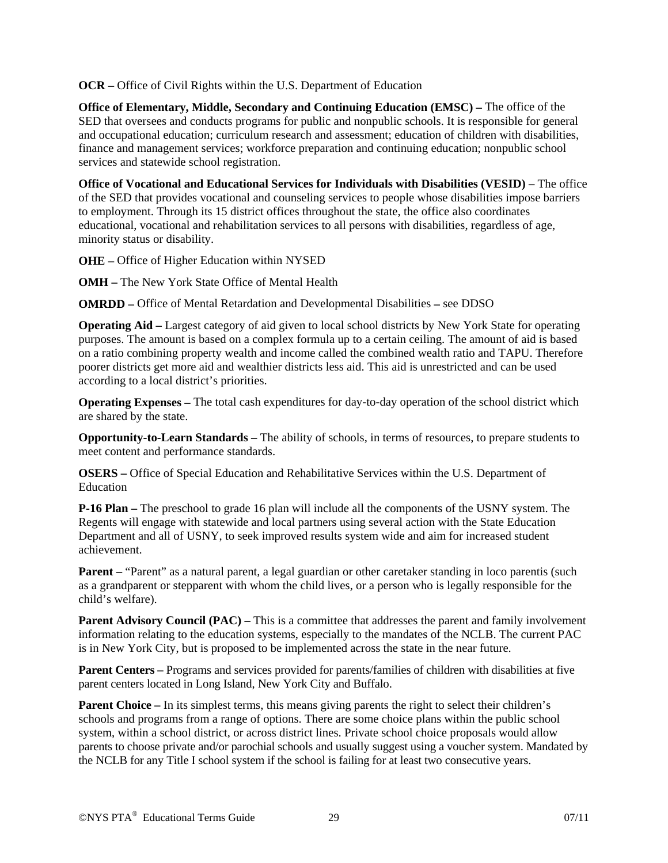**OCR –** Office of Civil Rights within the U.S. Department of Education

**Office of Elementary, Middle, Secondary and Continuing Education (EMSC) – The office of the** SED that oversees and conducts programs for public and nonpublic schools. It is responsible for general and occupational education; curriculum research and assessment; education of children with disabilities, finance and management services; workforce preparation and continuing education; nonpublic school services and statewide school registration.

**Office of Vocational and Educational Services for Individuals with Disabilities (VESID) –** The office of the SED that provides vocational and counseling services to people whose disabilities impose barriers to employment. Through its 15 district offices throughout the state, the office also coordinates educational, vocational and rehabilitation services to all persons with disabilities, regardless of age, minority status or disability.

**OHE –** Office of Higher Education within NYSED

**OMH –** The New York State Office of Mental Health

**OMRDD –** Office of Mental Retardation and Developmental Disabilities **–** see DDSO

**Operating Aid –** Largest category of aid given to local school districts by New York State for operating purposes. The amount is based on a complex formula up to a certain ceiling. The amount of aid is based on a ratio combining property wealth and income called the combined wealth ratio and TAPU. Therefore poorer districts get more aid and wealthier districts less aid. This aid is unrestricted and can be used according to a local district's priorities.

**Operating Expenses –** The total cash expenditures for day-to-day operation of the school district which are shared by the state.

**Opportunity-to-Learn Standards –** The ability of schools, in terms of resources, to prepare students to meet content and performance standards.

**OSERS –** Office of Special Education and Rehabilitative Services within the U.S. Department of Education

**P-16 Plan –** The preschool to grade 16 plan will include all the components of the USNY system. The Regents will engage with statewide and local partners using several action with the State Education Department and all of USNY, to seek improved results system wide and aim for increased student achievement.

**Parent** – "Parent" as a natural parent, a legal guardian or other caretaker standing in loco parentis (such as a grandparent or stepparent with whom the child lives, or a person who is legally responsible for the child's welfare).

**Parent Advisory Council (PAC) – This is a committee that addresses the parent and family involvement** information relating to the education systems, especially to the mandates of the NCLB. The current PAC is in New York City, but is proposed to be implemented across the state in the near future.

**Parent Centers –** Programs and services provided for parents/families of children with disabilities at five parent centers located in Long Island, New York City and Buffalo.

**Parent Choice – In its simplest terms, this means giving parents the right to select their children's** schools and programs from a range of options. There are some choice plans within the public school system, within a school district, or across district lines. Private school choice proposals would allow parents to choose private and/or parochial schools and usually suggest using a voucher system. Mandated by the NCLB for any Title I school system if the school is failing for at least two consecutive years.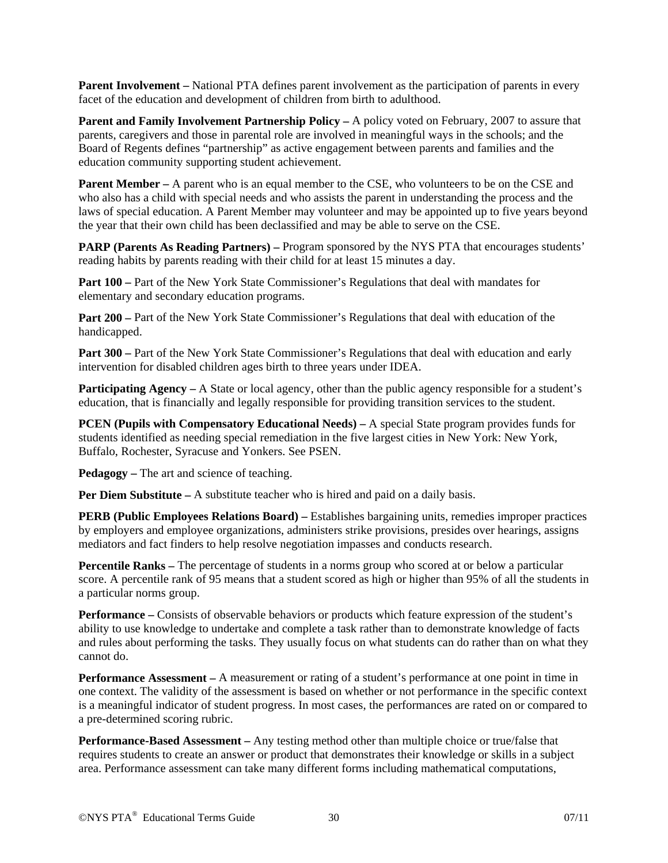**Parent Involvement –** National PTA defines parent involvement as the participation of parents in every facet of the education and development of children from birth to adulthood.

Parent and Family Involvement Partnership Policy - A policy voted on February, 2007 to assure that parents, caregivers and those in parental role are involved in meaningful ways in the schools; and the Board of Regents defines "partnership" as active engagement between parents and families and the education community supporting student achievement.

**Parent Member** – A parent who is an equal member to the CSE, who volunteers to be on the CSE and who also has a child with special needs and who assists the parent in understanding the process and the laws of special education. A Parent Member may volunteer and may be appointed up to five years beyond the year that their own child has been declassified and may be able to serve on the CSE.

**PARP (Parents As Reading Partners)** – Program sponsored by the NYS PTA that encourages students' reading habits by parents reading with their child for at least 15 minutes a day.

**Part 100 – Part of the New York State Commissioner's Regulations that deal with mandates for** elementary and secondary education programs.

**Part 200** – Part of the New York State Commissioner's Regulations that deal with education of the handicapped.

**Part 300** – Part of the New York State Commissioner's Regulations that deal with education and early intervention for disabled children ages birth to three years under IDEA.

**Participating Agency – A** State or local agency, other than the public agency responsible for a student's education, that is financially and legally responsible for providing transition services to the student.

**PCEN (Pupils with Compensatory Educational Needs) – A special State program provides funds for** students identified as needing special remediation in the five largest cities in New York: New York, Buffalo, Rochester, Syracuse and Yonkers. See PSEN.

**Pedagogy –** The art and science of teaching.

**Per Diem Substitute – A** substitute teacher who is hired and paid on a daily basis.

**PERB (Public Employees Relations Board)** – Establishes bargaining units, remedies improper practices by employers and employee organizations, administers strike provisions, presides over hearings, assigns mediators and fact finders to help resolve negotiation impasses and conducts research.

**Percentile Ranks –** The percentage of students in a norms group who scored at or below a particular score. A percentile rank of 95 means that a student scored as high or higher than 95% of all the students in a particular norms group.

**Performance** – Consists of observable behaviors or products which feature expression of the student's ability to use knowledge to undertake and complete a task rather than to demonstrate knowledge of facts and rules about performing the tasks. They usually focus on what students can do rather than on what they cannot do.

**Performance Assessment –** A measurement or rating of a student's performance at one point in time in one context. The validity of the assessment is based on whether or not performance in the specific context is a meaningful indicator of student progress. In most cases, the performances are rated on or compared to a pre-determined scoring rubric.

**Performance-Based Assessment –** Any testing method other than multiple choice or true/false that requires students to create an answer or product that demonstrates their knowledge or skills in a subject area. Performance assessment can take many different forms including mathematical computations,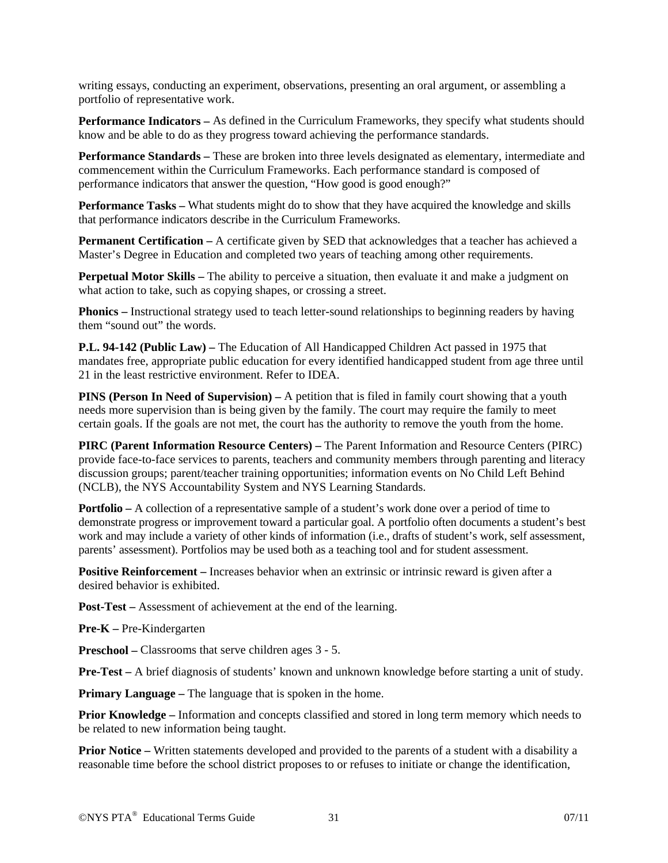writing essays, conducting an experiment, observations, presenting an oral argument, or assembling a portfolio of representative work.

**Performance Indicators –** As defined in the Curriculum Frameworks, they specify what students should know and be able to do as they progress toward achieving the performance standards.

**Performance Standards –** These are broken into three levels designated as elementary, intermediate and commencement within the Curriculum Frameworks. Each performance standard is composed of performance indicators that answer the question, "How good is good enough?"

**Performance Tasks –** What students might do to show that they have acquired the knowledge and skills that performance indicators describe in the Curriculum Frameworks.

**Permanent Certification – A certificate given by SED that acknowledges that a teacher has achieved a** Master's Degree in Education and completed two years of teaching among other requirements.

**Perpetual Motor Skills –** The ability to perceive a situation, then evaluate it and make a judgment on what action to take, such as copying shapes, or crossing a street.

**Phonics –** Instructional strategy used to teach letter-sound relationships to beginning readers by having them "sound out" the words.

**P.L. 94-142 (Public Law) –** The Education of All Handicapped Children Act passed in 1975 that mandates free, appropriate public education for every identified handicapped student from age three until 21 in the least restrictive environment. Refer to IDEA.

**PINS (Person In Need of Supervision) –** A petition that is filed in family court showing that a youth needs more supervision than is being given by the family. The court may require the family to meet certain goals. If the goals are not met, the court has the authority to remove the youth from the home.

**PIRC (Parent Information Resource Centers) –** The Parent Information and Resource Centers (PIRC) provide face-to-face services to parents, teachers and community members through parenting and literacy discussion groups; parent/teacher training opportunities; information events on No Child Left Behind (NCLB), the NYS Accountability System and NYS Learning Standards.

**Portfolio –** A collection of a representative sample of a student's work done over a period of time to demonstrate progress or improvement toward a particular goal. A portfolio often documents a student's best work and may include a variety of other kinds of information (i.e., drafts of student's work, self assessment, parents' assessment). Portfolios may be used both as a teaching tool and for student assessment.

**Positive Reinforcement** – Increases behavior when an extrinsic or intrinsic reward is given after a desired behavior is exhibited.

**Post-Test –** Assessment of achievement at the end of the learning.

**Pre-K –** Pre-Kindergarten

**Preschool** – Classrooms that serve children ages  $3 - 5$ .

**Pre-Test –** A brief diagnosis of students' known and unknown knowledge before starting a unit of study.

**Primary Language – The language that is spoken in the home.** 

**Prior Knowledge –** Information and concepts classified and stored in long term memory which needs to be related to new information being taught.

**Prior Notice –** Written statements developed and provided to the parents of a student with a disability a reasonable time before the school district proposes to or refuses to initiate or change the identification,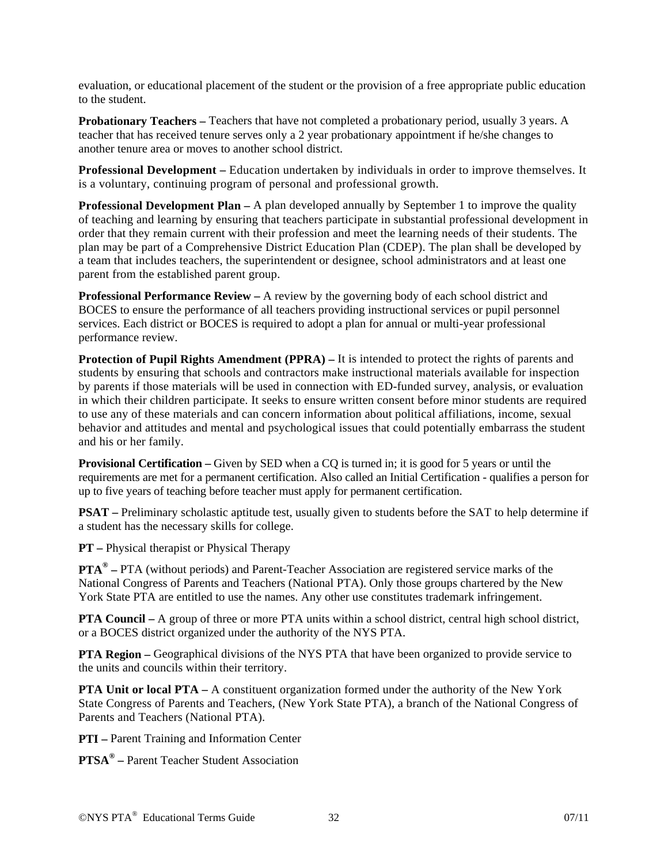evaluation, or educational placement of the student or the provision of a free appropriate public education to the student.

**Probationary Teachers – Teachers that have not completed a probationary period, usually 3 years. A** teacher that has received tenure serves only a 2 year probationary appointment if he/she changes to another tenure area or moves to another school district.

**Professional Development –** Education undertaken by individuals in order to improve themselves. It is a voluntary, continuing program of personal and professional growth.

**Professional Development Plan –** A plan developed annually by September 1 to improve the quality of teaching and learning by ensuring that teachers participate in substantial professional development in order that they remain current with their profession and meet the learning needs of their students. The plan may be part of a Comprehensive District Education Plan (CDEP). The plan shall be developed by a team that includes teachers, the superintendent or designee, school administrators and at least one parent from the established parent group.

**Professional Performance Review – A review by the governing body of each school district and** BOCES to ensure the performance of all teachers providing instructional services or pupil personnel services. Each district or BOCES is required to adopt a plan for annual or multi-year professional performance review.

**Protection of Pupil Rights Amendment (PPRA) – It is intended to protect the rights of parents and** students by ensuring that schools and contractors make instructional materials available for inspection by parents if those materials will be used in connection with ED-funded survey, analysis, or evaluation in which their children participate. It seeks to ensure written consent before minor students are required to use any of these materials and can concern information about political affiliations, income, sexual behavior and attitudes and mental and psychological issues that could potentially embarrass the student and his or her family.

**Provisional Certification – Given by SED** when a CQ is turned in; it is good for 5 years or until the requirements are met for a permanent certification. Also called an Initial Certification - qualifies a person for up to five years of teaching before teacher must apply for permanent certification.

**PSAT** – Preliminary scholastic aptitude test, usually given to students before the SAT to help determine if a student has the necessary skills for college.

**PT –** Physical therapist or Physical Therapy

**PTA® –** PTA (without periods) and Parent-Teacher Association are registered service marks of the National Congress of Parents and Teachers (National PTA). Only those groups chartered by the New York State PTA are entitled to use the names. Any other use constitutes trademark infringement.

**PTA Council – A** group of three or more PTA units within a school district, central high school district, or a BOCES district organized under the authority of the NYS PTA.

**PTA Region** – Geographical divisions of the NYS PTA that have been organized to provide service to the units and councils within their territory.

**PTA Unit or local PTA –** A constituent organization formed under the authority of the New York State Congress of Parents and Teachers, (New York State PTA), a branch of the National Congress of Parents and Teachers (National PTA).

**PTI –** Parent Training and Information Center

**PTSA® –** Parent Teacher Student Association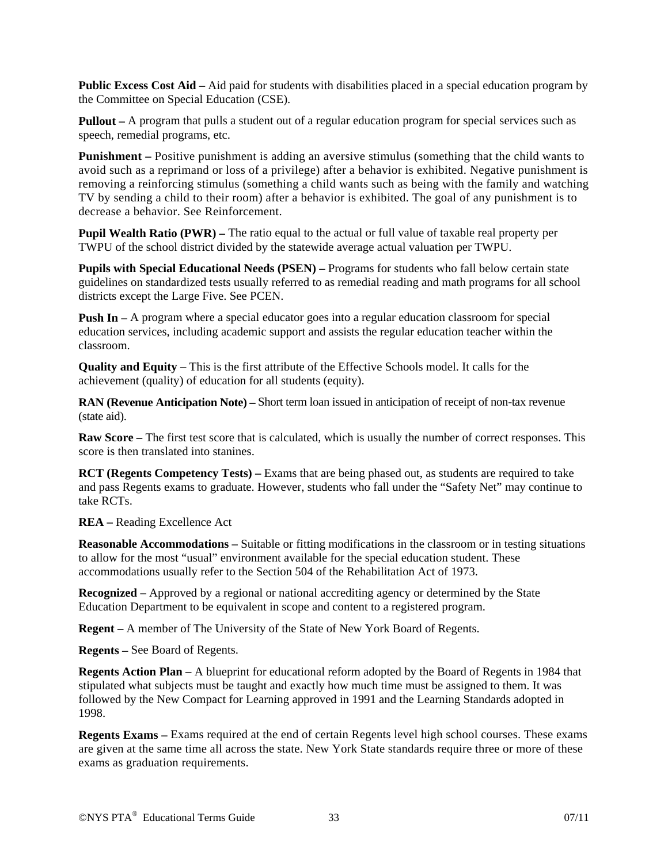**Public Excess Cost Aid –** Aid paid for students with disabilities placed in a special education program by the Committee on Special Education (CSE).

**Pullout** – A program that pulls a student out of a regular education program for special services such as speech, remedial programs, etc.

**Punishment** – Positive punishment is adding an aversive stimulus (something that the child wants to avoid such as a reprimand or loss of a privilege) after a behavior is exhibited. Negative punishment is removing a reinforcing stimulus (something a child wants such as being with the family and watching TV by sending a child to their room) after a behavior is exhibited. The goal of any punishment is to decrease a behavior. See Reinforcement.

**Pupil Wealth Ratio (PWR)** – The ratio equal to the actual or full value of taxable real property per TWPU of the school district divided by the statewide average actual valuation per TWPU.

**Pupils with Special Educational Needs (PSEN) –** Programs for students who fall below certain state guidelines on standardized tests usually referred to as remedial reading and math programs for all school districts except the Large Five. See PCEN.

**Push In – A** program where a special educator goes into a regular education classroom for special education services, including academic support and assists the regular education teacher within the classroom.

**Quality and Equity –** This is the first attribute of the Effective Schools model. It calls for the achievement (quality) of education for all students (equity).

**RAN (Revenue Anticipation Note)** – Short term loan issued in anticipation of receipt of non-tax revenue (state aid).

**Raw Score –** The first test score that is calculated, which is usually the number of correct responses. This score is then translated into stanines.

**RCT (Regents Competency Tests) –** Exams that are being phased out, as students are required to take and pass Regents exams to graduate. However, students who fall under the "Safety Net" may continue to take RCTs.

**REA –** Reading Excellence Act

**Reasonable Accommodations –** Suitable or fitting modifications in the classroom or in testing situations to allow for the most "usual" environment available for the special education student. These accommodations usually refer to the Section 504 of the Rehabilitation Act of 1973.

**Recognized –** Approved by a regional or national accrediting agency or determined by the State Education Department to be equivalent in scope and content to a registered program.

**Regent –** A member of The University of the State of New York Board of Regents.

**Regents –** See Board of Regents.

**Regents Action Plan –** A blueprint for educational reform adopted by the Board of Regents in 1984 that stipulated what subjects must be taught and exactly how much time must be assigned to them. It was followed by the New Compact for Learning approved in 1991 and the Learning Standards adopted in 1998.

**Regents Exams –** Exams required at the end of certain Regents level high school courses. These exams are given at the same time all across the state. New York State standards require three or more of these exams as graduation requirements.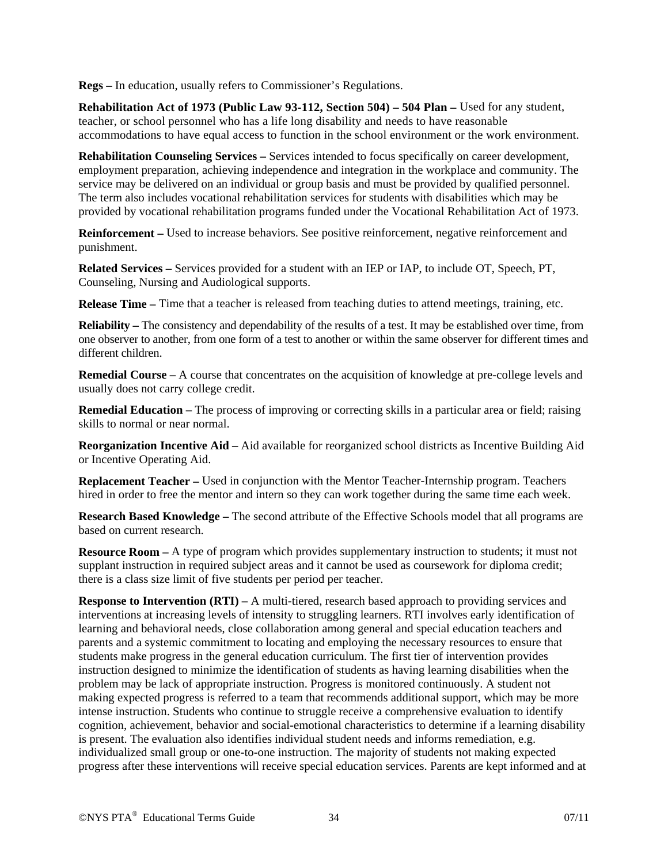**Regs –** In education, usually refers to Commissioner's Regulations.

**Rehabilitation Act of 1973 (Public Law 93-112, Section 504) – 504 Plan – Used for any student,** teacher, or school personnel who has a life long disability and needs to have reasonable accommodations to have equal access to function in the school environment or the work environment.

**Rehabilitation Counseling Services –** Services intended to focus specifically on career development, employment preparation, achieving independence and integration in the workplace and community. The service may be delivered on an individual or group basis and must be provided by qualified personnel. The term also includes vocational rehabilitation services for students with disabilities which may be provided by vocational rehabilitation programs funded under the Vocational Rehabilitation Act of 1973.

**Reinforcement –** Used to increase behaviors. See positive reinforcement, negative reinforcement and punishment.

**Related Services –** Services provided for a student with an IEP or IAP, to include OT, Speech, PT, Counseling, Nursing and Audiological supports.

**Release Time –** Time that a teacher is released from teaching duties to attend meetings, training, etc.

**Reliability** – The consistency and dependability of the results of a test. It may be established over time, from one observer to another, from one form of a test to another or within the same observer for different times and different children.

**Remedial Course –** A course that concentrates on the acquisition of knowledge at pre-college levels and usually does not carry college credit.

**Remedial Education –** The process of improving or correcting skills in a particular area or field; raising skills to normal or near normal.

**Reorganization Incentive Aid –** Aid available for reorganized school districts as Incentive Building Aid or Incentive Operating Aid.

**Replacement Teacher –** Used in conjunction with the Mentor Teacher-Internship program. Teachers hired in order to free the mentor and intern so they can work together during the same time each week.

**Research Based Knowledge –** The second attribute of the Effective Schools model that all programs are based on current research.

**Resource Room –** A type of program which provides supplementary instruction to students; it must not supplant instruction in required subject areas and it cannot be used as coursework for diploma credit; there is a class size limit of five students per period per teacher.

**Response to Intervention (RTI)** – A multi-tiered, research based approach to providing services and interventions at increasing levels of intensity to struggling learners. RTI involves early identification of learning and behavioral needs, close collaboration among general and special education teachers and parents and a systemic commitment to locating and employing the necessary resources to ensure that students make progress in the general education curriculum. The first tier of intervention provides instruction designed to minimize the identification of students as having learning disabilities when the problem may be lack of appropriate instruction. Progress is monitored continuously. A student not making expected progress is referred to a team that recommends additional support, which may be more intense instruction. Students who continue to struggle receive a comprehensive evaluation to identify cognition, achievement, behavior and social-emotional characteristics to determine if a learning disability is present. The evaluation also identifies individual student needs and informs remediation, e.g. individualized small group or one-to-one instruction. The majority of students not making expected progress after these interventions will receive special education services. Parents are kept informed and at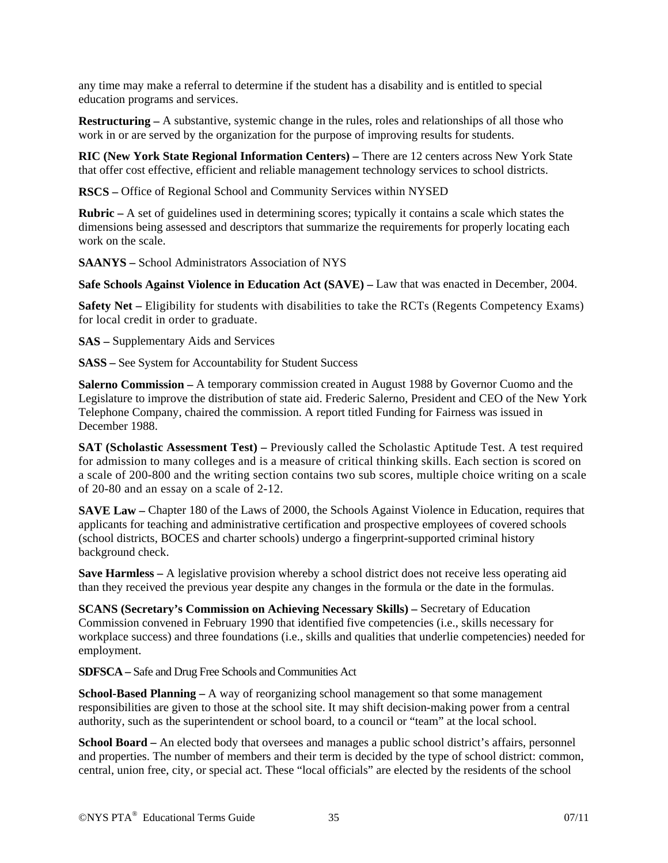any time may make a referral to determine if the student has a disability and is entitled to special education programs and services.

**Restructuring –** A substantive, systemic change in the rules, roles and relationships of all those who work in or are served by the organization for the purpose of improving results for students.

**RIC (New York State Regional Information Centers) –** There are 12 centers across New York State that offer cost effective, efficient and reliable management technology services to school districts.

**RSCS –** Office of Regional School and Community Services within NYSED

**Rubric** – A set of guidelines used in determining scores; typically it contains a scale which states the dimensions being assessed and descriptors that summarize the requirements for properly locating each work on the scale.

**SAANYS –** School Administrators Association of NYS

**Safe Schools Against Violence in Education Act (SAVE) –** Law that was enacted in December, 2004.

**Safety Net –** Eligibility for students with disabilities to take the RCTs (Regents Competency Exams) for local credit in order to graduate.

**SAS –** Supplementary Aids and Services

**SASS –** See System for Accountability for Student Success

**Salerno Commission –** A temporary commission created in August 1988 by Governor Cuomo and the Legislature to improve the distribution of state aid. Frederic Salerno, President and CEO of the New York Telephone Company, chaired the commission. A report titled Funding for Fairness was issued in December 1988.

**SAT (Scholastic Assessment Test) – Previously called the Scholastic Aptitude Test. A test required** for admission to many colleges and is a measure of critical thinking skills. Each section is scored on a scale of 200-800 and the writing section contains two sub scores, multiple choice writing on a scale of 20-80 and an essay on a scale of 2-12.

**SAVE Law** – Chapter 180 of the Laws of 2000, the Schools Against Violence in Education, requires that applicants for teaching and administrative certification and prospective employees of covered schools (school districts, BOCES and charter schools) undergo a fingerprint-supported criminal history background check.

**Save Harmless –** A legislative provision whereby a school district does not receive less operating aid than they received the previous year despite any changes in the formula or the date in the formulas.

**SCANS (Secretary's Commission on Achieving Necessary Skills) –** Secretary of Education Commission convened in February 1990 that identified five competencies (i.e., skills necessary for workplace success) and three foundations (i.e., skills and qualities that underlie competencies) needed for employment.

**SDFSCA –** Safe and Drug Free Schools and Communities Act

**School-Based Planning –** A way of reorganizing school management so that some management responsibilities are given to those at the school site. It may shift decision-making power from a central authority, such as the superintendent or school board, to a council or "team" at the local school.

**School Board –** An elected body that oversees and manages a public school district's affairs, personnel and properties. The number of members and their term is decided by the type of school district: common, central, union free, city, or special act. These "local officials" are elected by the residents of the school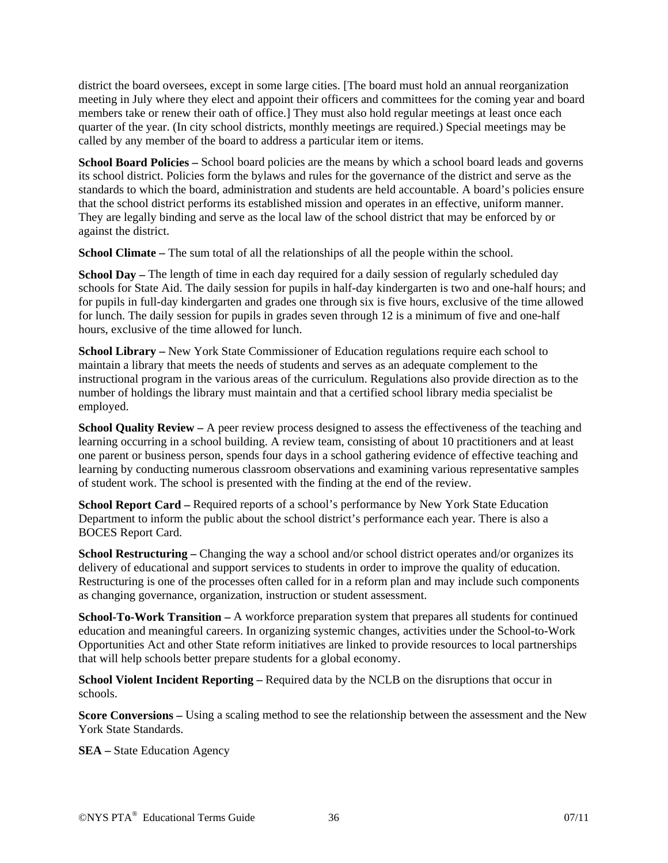district the board oversees, except in some large cities. [The board must hold an annual reorganization meeting in July where they elect and appoint their officers and committees for the coming year and board members take or renew their oath of office.] They must also hold regular meetings at least once each quarter of the year. (In city school districts, monthly meetings are required.) Special meetings may be called by any member of the board to address a particular item or items.

**School Board Policies –** School board policies are the means by which a school board leads and governs its school district. Policies form the bylaws and rules for the governance of the district and serve as the standards to which the board, administration and students are held accountable. A board's policies ensure that the school district performs its established mission and operates in an effective, uniform manner. They are legally binding and serve as the local law of the school district that may be enforced by or against the district.

**School Climate** – The sum total of all the relationships of all the people within the school.

**School Day** – The length of time in each day required for a daily session of regularly scheduled day schools for State Aid. The daily session for pupils in half-day kindergarten is two and one-half hours; and for pupils in full-day kindergarten and grades one through six is five hours, exclusive of the time allowed for lunch. The daily session for pupils in grades seven through 12 is a minimum of five and one-half hours, exclusive of the time allowed for lunch.

**School Library –** New York State Commissioner of Education regulations require each school to maintain a library that meets the needs of students and serves as an adequate complement to the instructional program in the various areas of the curriculum. Regulations also provide direction as to the number of holdings the library must maintain and that a certified school library media specialist be employed.

**School Quality Review –** A peer review process designed to assess the effectiveness of the teaching and learning occurring in a school building. A review team, consisting of about 10 practitioners and at least one parent or business person, spends four days in a school gathering evidence of effective teaching and learning by conducting numerous classroom observations and examining various representative samples of student work. The school is presented with the finding at the end of the review.

**School Report Card –** Required reports of a school's performance by New York State Education Department to inform the public about the school district's performance each year. There is also a BOCES Report Card.

**School Restructuring – Changing the way a school and/or school district operates and/or organizes its** delivery of educational and support services to students in order to improve the quality of education. Restructuring is one of the processes often called for in a reform plan and may include such components as changing governance, organization, instruction or student assessment.

**School-To-Work Transition –** A workforce preparation system that prepares all students for continued education and meaningful careers. In organizing systemic changes, activities under the School-to-Work Opportunities Act and other State reform initiatives are linked to provide resources to local partnerships that will help schools better prepare students for a global economy.

**School Violent Incident Reporting –** Required data by the NCLB on the disruptions that occur in schools.

**Score Conversions –** Using a scaling method to see the relationship between the assessment and the New York State Standards.

**SEA** – State Education Agency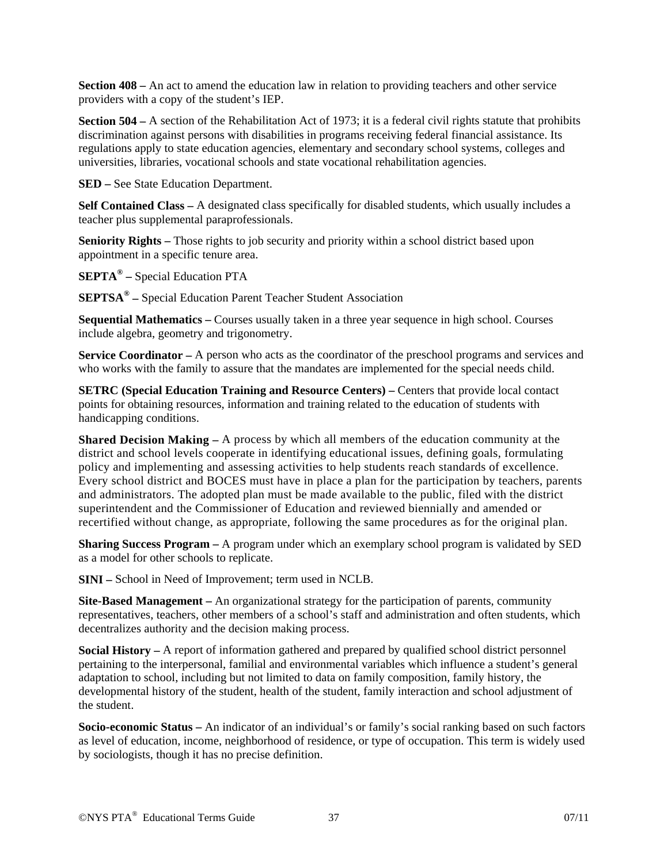**Section 408 –** An act to amend the education law in relation to providing teachers and other service providers with a copy of the student's IEP.

**Section 504** – A section of the Rehabilitation Act of 1973; it is a federal civil rights statute that prohibits discrimination against persons with disabilities in programs receiving federal financial assistance. Its regulations apply to state education agencies, elementary and secondary school systems, colleges and universities, libraries, vocational schools and state vocational rehabilitation agencies.

**SED –** See State Education Department.

**Self Contained Class –** A designated class specifically for disabled students, which usually includes a teacher plus supplemental paraprofessionals.

**Seniority Rights –** Those rights to job security and priority within a school district based upon appointment in a specific tenure area.

**SEPTA® –** Special Education PTA

**SEPTSA® –** Special Education Parent Teacher Student Association

**Sequential Mathematics –** Courses usually taken in a three year sequence in high school. Courses include algebra, geometry and trigonometry.

**Service Coordinator –** A person who acts as the coordinator of the preschool programs and services and who works with the family to assure that the mandates are implemented for the special needs child.

**SETRC (Special Education Training and Resource Centers) – Centers that provide local contact** points for obtaining resources, information and training related to the education of students with handicapping conditions.

**Shared Decision Making –** A process by which all members of the education community at the district and school levels cooperate in identifying educational issues, defining goals, formulating policy and implementing and assessing activities to help students reach standards of excellence. Every school district and BOCES must have in place a plan for the participation by teachers, parents and administrators. The adopted plan must be made available to the public, filed with the district superintendent and the Commissioner of Education and reviewed biennially and amended or recertified without change, as appropriate, following the same procedures as for the original plan.

**Sharing Success Program –** A program under which an exemplary school program is validated by SED as a model for other schools to replicate.

**SINI –** School in Need of Improvement; term used in NCLB.

**Site-Based Management –** An organizational strategy for the participation of parents, community representatives, teachers, other members of a school's staff and administration and often students, which decentralizes authority and the decision making process.

**Social History –** A report of information gathered and prepared by qualified school district personnel pertaining to the interpersonal, familial and environmental variables which influence a student's general adaptation to school, including but not limited to data on family composition, family history, the developmental history of the student, health of the student, family interaction and school adjustment of the student.

**Socio-economic Status –** An indicator of an individual's or family's social ranking based on such factors as level of education, income, neighborhood of residence, or type of occupation. This term is widely used by sociologists, though it has no precise definition.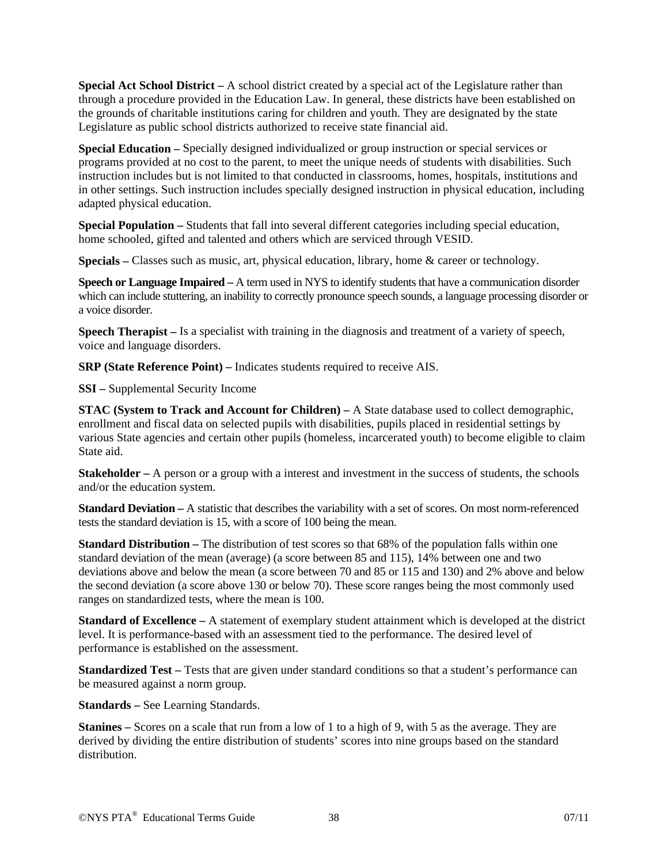**Special Act School District –** A school district created by a special act of the Legislature rather than through a procedure provided in the Education Law. In general, these districts have been established on the grounds of charitable institutions caring for children and youth. They are designated by the state Legislature as public school districts authorized to receive state financial aid.

**Special Education –** Specially designed individualized or group instruction or special services or programs provided at no cost to the parent, to meet the unique needs of students with disabilities. Such instruction includes but is not limited to that conducted in classrooms, homes, hospitals, institutions and in other settings. Such instruction includes specially designed instruction in physical education, including adapted physical education.

**Special Population –** Students that fall into several different categories including special education, home schooled, gifted and talented and others which are serviced through VESID.

**Specials –** Classes such as music, art, physical education, library, home & career or technology.

**Speech or Language Impaired –** A term used in NYS to identify students that have a communication disorder which can include stuttering, an inability to correctly pronounce speech sounds, a language processing disorder or a voice disorder.

**Speech Therapist –** Is a specialist with training in the diagnosis and treatment of a variety of speech, voice and language disorders.

**SRP (State Reference Point) –** Indicates students required to receive AIS.

**SSI –** Supplemental Security Income

**STAC (System to Track and Account for Children) –** A State database used to collect demographic, enrollment and fiscal data on selected pupils with disabilities, pupils placed in residential settings by various State agencies and certain other pupils (homeless, incarcerated youth) to become eligible to claim State aid.

**Stakeholder –** A person or a group with a interest and investment in the success of students, the schools and/or the education system.

**Standard Deviation –** A statistic that describes the variability with a set of scores. On most norm-referenced tests the standard deviation is 15, with a score of 100 being the mean.

**Standard Distribution –** The distribution of test scores so that 68% of the population falls within one standard deviation of the mean (average) (a score between 85 and 115), 14% between one and two deviations above and below the mean (a score between 70 and 85 or 115 and 130) and 2% above and below the second deviation (a score above 130 or below 70). These score ranges being the most commonly used ranges on standardized tests, where the mean is 100.

**Standard of Excellence –** A statement of exemplary student attainment which is developed at the district level. It is performance-based with an assessment tied to the performance. The desired level of performance is established on the assessment.

**Standardized Test – Tests that are given under standard conditions so that a student's performance can** be measured against a norm group.

**Standards –** See Learning Standards.

**Stanines –** Scores on a scale that run from a low of 1 to a high of 9, with 5 as the average. They are derived by dividing the entire distribution of students' scores into nine groups based on the standard distribution.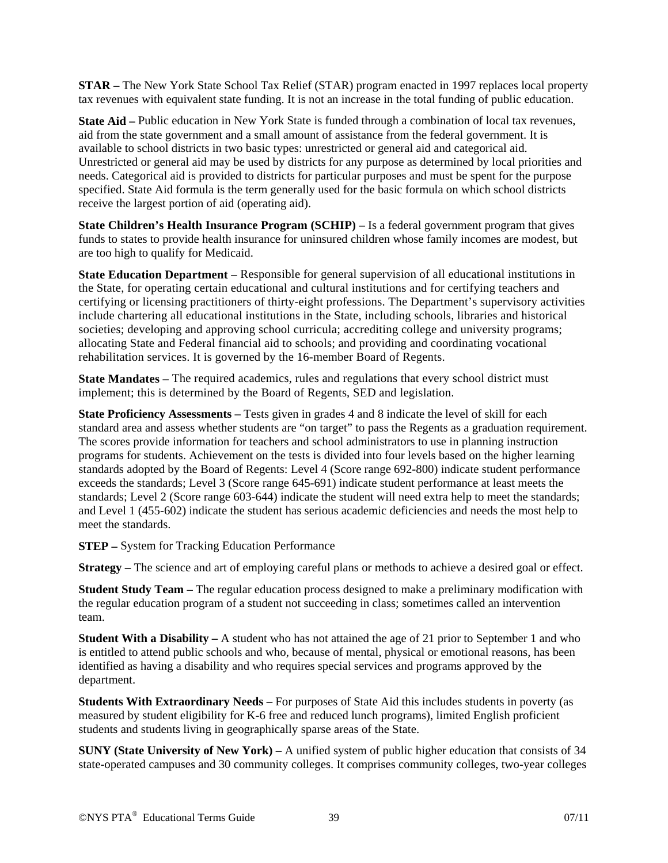**STAR –** The New York State School Tax Relief (STAR) program enacted in 1997 replaces local property tax revenues with equivalent state funding. It is not an increase in the total funding of public education.

**State Aid – Public education in New York State is funded through a combination of local tax revenues,** aid from the state government and a small amount of assistance from the federal government. It is available to school districts in two basic types: unrestricted or general aid and categorical aid. Unrestricted or general aid may be used by districts for any purpose as determined by local priorities and needs. Categorical aid is provided to districts for particular purposes and must be spent for the purpose specified. State Aid formula is the term generally used for the basic formula on which school districts receive the largest portion of aid (operating aid).

**State Children's Health Insurance Program (SCHIP)** – Is a federal government program that gives funds to states to provide health insurance for uninsured children whose family incomes are modest, but are too high to qualify for Medicaid.

**State Education Department –** Responsible for general supervision of all educational institutions in the State, for operating certain educational and cultural institutions and for certifying teachers and certifying or licensing practitioners of thirty-eight professions. The Department's supervisory activities include chartering all educational institutions in the State, including schools, libraries and historical societies; developing and approving school curricula; accrediting college and university programs; allocating State and Federal financial aid to schools; and providing and coordinating vocational rehabilitation services. It is governed by the 16-member Board of Regents.

**State Mandates –** The required academics, rules and regulations that every school district must implement; this is determined by the Board of Regents, SED and legislation.

**State Proficiency Assessments** – Tests given in grades 4 and 8 indicate the level of skill for each standard area and assess whether students are "on target" to pass the Regents as a graduation requirement. The scores provide information for teachers and school administrators to use in planning instruction programs for students. Achievement on the tests is divided into four levels based on the higher learning standards adopted by the Board of Regents: Level 4 (Score range 692-800) indicate student performance exceeds the standards; Level 3 (Score range 645-691) indicate student performance at least meets the standards; Level 2 (Score range 603-644) indicate the student will need extra help to meet the standards; and Level 1 (455-602) indicate the student has serious academic deficiencies and needs the most help to meet the standards.

**STEP –** System for Tracking Education Performance

**Strategy –** The science and art of employing careful plans or methods to achieve a desired goal or effect.

**Student Study Team –** The regular education process designed to make a preliminary modification with the regular education program of a student not succeeding in class; sometimes called an intervention team.

**Student With a Disability** – A student who has not attained the age of 21 prior to September 1 and who is entitled to attend public schools and who, because of mental, physical or emotional reasons, has been identified as having a disability and who requires special services and programs approved by the department.

**Students With Extraordinary Needs –** For purposes of State Aid this includes students in poverty (as measured by student eligibility for K-6 free and reduced lunch programs), limited English proficient students and students living in geographically sparse areas of the State.

**SUNY (State University of New York) –** A unified system of public higher education that consists of 34 state-operated campuses and 30 community colleges. It comprises community colleges, two-year colleges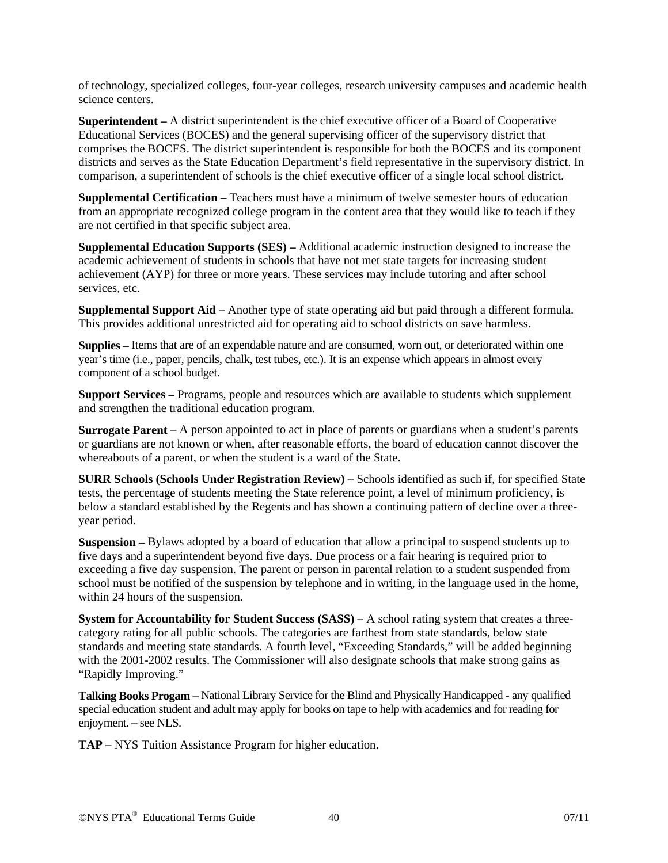of technology, specialized colleges, four-year colleges, research university campuses and academic health science centers.

**Superintendent –** A district superintendent is the chief executive officer of a Board of Cooperative Educational Services (BOCES) and the general supervising officer of the supervisory district that comprises the BOCES. The district superintendent is responsible for both the BOCES and its component districts and serves as the State Education Department's field representative in the supervisory district. In comparison, a superintendent of schools is the chief executive officer of a single local school district.

**Supplemental Certification –** Teachers must have a minimum of twelve semester hours of education from an appropriate recognized college program in the content area that they would like to teach if they are not certified in that specific subject area.

**Supplemental Education Supports (SES) –** Additional academic instruction designed to increase the academic achievement of students in schools that have not met state targets for increasing student achievement (AYP) for three or more years. These services may include tutoring and after school services, etc.

**Supplemental Support Aid –** Another type of state operating aid but paid through a different formula. This provides additional unrestricted aid for operating aid to school districts on save harmless.

**Supplies –** Items that are of an expendable nature and are consumed, worn out, or deteriorated within one year's time (i.e., paper, pencils, chalk, test tubes, etc.). It is an expense which appears in almost every component of a school budget.

**Support Services –** Programs, people and resources which are available to students which supplement and strengthen the traditional education program.

**Surrogate Parent –** A person appointed to act in place of parents or guardians when a student's parents or guardians are not known or when, after reasonable efforts, the board of education cannot discover the whereabouts of a parent, or when the student is a ward of the State.

**SURR Schools (Schools Under Registration Review) –** Schools identified as such if, for specified State tests, the percentage of students meeting the State reference point, a level of minimum proficiency, is below a standard established by the Regents and has shown a continuing pattern of decline over a threeyear period.

**Suspension –** Bylaws adopted by a board of education that allow a principal to suspend students up to five days and a superintendent beyond five days. Due process or a fair hearing is required prior to exceeding a five day suspension. The parent or person in parental relation to a student suspended from school must be notified of the suspension by telephone and in writing, in the language used in the home, within 24 hours of the suspension.

**System for Accountability for Student Success (SASS) – A school rating system that creates a three**category rating for all public schools. The categories are farthest from state standards, below state standards and meeting state standards. A fourth level, "Exceeding Standards," will be added beginning with the 2001-2002 results. The Commissioner will also designate schools that make strong gains as "Rapidly Improving."

**Talking Books Progam –** National Library Service for the Blind and Physically Handicapped - any qualified special education student and adult may apply for books on tape to help with academics and for reading for enjoyment. **–** see NLS.

**TAP –** NYS Tuition Assistance Program for higher education.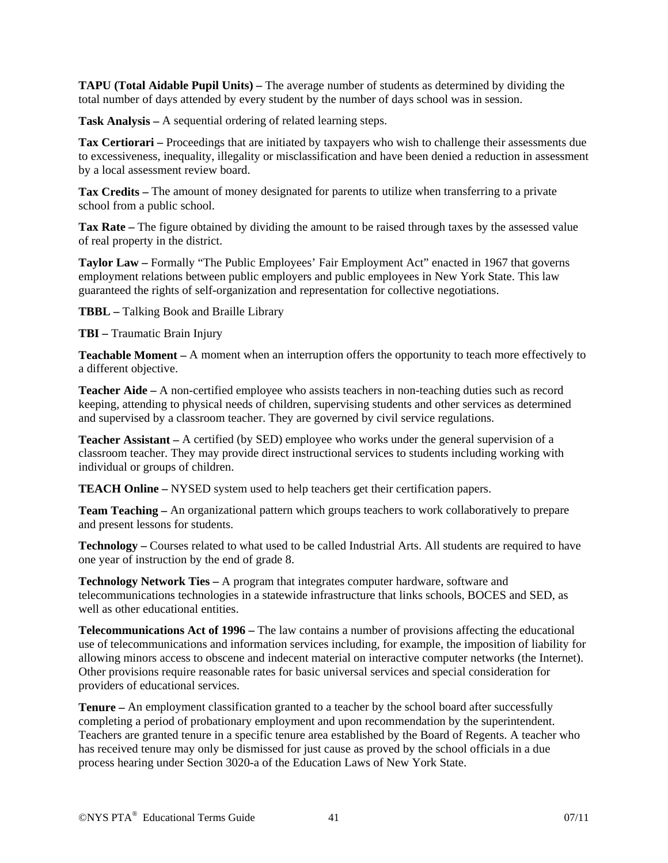**TAPU (Total Aidable Pupil Units) –** The average number of students as determined by dividing the total number of days attended by every student by the number of days school was in session.

**Task Analysis –** A sequential ordering of related learning steps.

**Tax Certiorari –** Proceedings that are initiated by taxpayers who wish to challenge their assessments due to excessiveness, inequality, illegality or misclassification and have been denied a reduction in assessment by a local assessment review board.

**Tax Credits –** The amount of money designated for parents to utilize when transferring to a private school from a public school.

**Tax Rate –** The figure obtained by dividing the amount to be raised through taxes by the assessed value of real property in the district.

**Taylor Law –** Formally "The Public Employees' Fair Employment Act" enacted in 1967 that governs employment relations between public employers and public employees in New York State. This law guaranteed the rights of self-organization and representation for collective negotiations.

**TBBL –** Talking Book and Braille Library

**TBI –** Traumatic Brain Injury

**Teachable Moment –** A moment when an interruption offers the opportunity to teach more effectively to a different objective.

**Teacher Aide –** A non-certified employee who assists teachers in non-teaching duties such as record keeping, attending to physical needs of children, supervising students and other services as determined and supervised by a classroom teacher. They are governed by civil service regulations.

**Teacher Assistant –** A certified (by SED) employee who works under the general supervision of a classroom teacher. They may provide direct instructional services to students including working with individual or groups of children.

**TEACH Online –** NYSED system used to help teachers get their certification papers.

**Team Teaching –** An organizational pattern which groups teachers to work collaboratively to prepare and present lessons for students.

**Technology –** Courses related to what used to be called Industrial Arts. All students are required to have one year of instruction by the end of grade 8.

**Technology Network Ties –** A program that integrates computer hardware, software and telecommunications technologies in a statewide infrastructure that links schools, BOCES and SED, as well as other educational entities.

**Telecommunications Act of 1996 –** The law contains a number of provisions affecting the educational use of telecommunications and information services including, for example, the imposition of liability for allowing minors access to obscene and indecent material on interactive computer networks (the Internet). Other provisions require reasonable rates for basic universal services and special consideration for providers of educational services.

**Tenure –** An employment classification granted to a teacher by the school board after successfully completing a period of probationary employment and upon recommendation by the superintendent. Teachers are granted tenure in a specific tenure area established by the Board of Regents. A teacher who has received tenure may only be dismissed for just cause as proved by the school officials in a due process hearing under Section 3020-a of the Education Laws of New York State.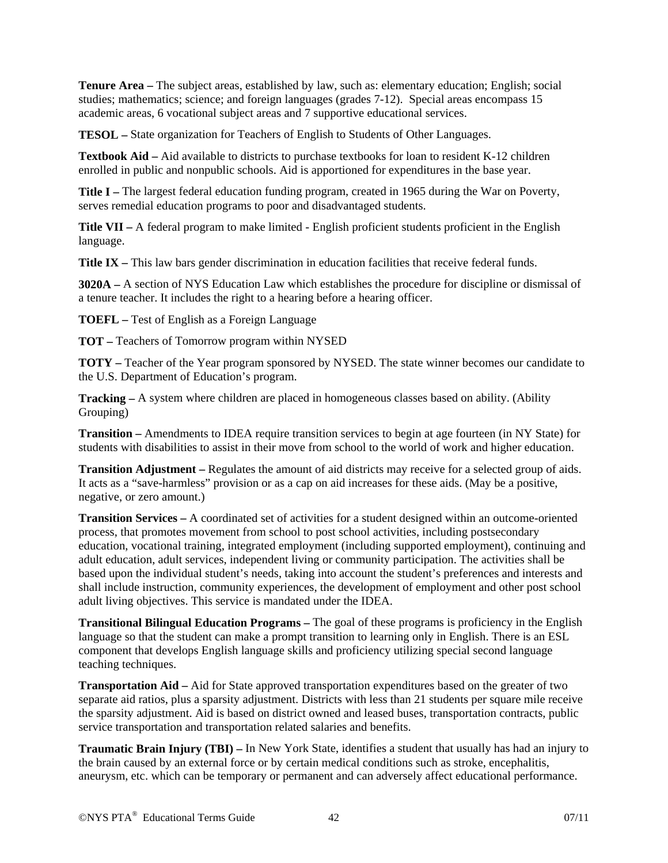**Tenure Area –** The subject areas, established by law, such as: elementary education; English; social studies; mathematics; science; and foreign languages (grades 7-12). Special areas encompass 15 academic areas, 6 vocational subject areas and 7 supportive educational services.

**TESOL –** State organization for Teachers of English to Students of Other Languages.

**Textbook Aid –** Aid available to districts to purchase textbooks for loan to resident K-12 children enrolled in public and nonpublic schools. Aid is apportioned for expenditures in the base year.

**Title I –** The largest federal education funding program, created in 1965 during the War on Poverty, serves remedial education programs to poor and disadvantaged students.

**Title VII –** A federal program to make limited - English proficient students proficient in the English language.

**Title IX –** This law bars gender discrimination in education facilities that receive federal funds.

**3020A –** A section of NYS Education Law which establishes the procedure for discipline or dismissal of a tenure teacher. It includes the right to a hearing before a hearing officer.

**TOEFL –** Test of English as a Foreign Language

**TOT –** Teachers of Tomorrow program within NYSED

**TOTY –** Teacher of the Year program sponsored by NYSED. The state winner becomes our candidate to the U.S. Department of Education's program.

**Tracking –** A system where children are placed in homogeneous classes based on ability. (Ability Grouping)

**Transition –** Amendments to IDEA require transition services to begin at age fourteen (in NY State) for students with disabilities to assist in their move from school to the world of work and higher education.

**Transition Adjustment –** Regulates the amount of aid districts may receive for a selected group of aids. It acts as a "save-harmless" provision or as a cap on aid increases for these aids. (May be a positive, negative, or zero amount.)

**Transition Services –** A coordinated set of activities for a student designed within an outcome-oriented process, that promotes movement from school to post school activities, including postsecondary education, vocational training, integrated employment (including supported employment), continuing and adult education, adult services, independent living or community participation. The activities shall be based upon the individual student's needs, taking into account the student's preferences and interests and shall include instruction, community experiences, the development of employment and other post school adult living objectives. This service is mandated under the IDEA.

**Transitional Bilingual Education Programs –** The goal of these programs is proficiency in the English language so that the student can make a prompt transition to learning only in English. There is an ESL component that develops English language skills and proficiency utilizing special second language teaching techniques.

**Transportation Aid –** Aid for State approved transportation expenditures based on the greater of two separate aid ratios, plus a sparsity adjustment. Districts with less than 21 students per square mile receive the sparsity adjustment. Aid is based on district owned and leased buses, transportation contracts, public service transportation and transportation related salaries and benefits.

**Traumatic Brain Injury (TBI) –** In New York State, identifies a student that usually has had an injury to the brain caused by an external force or by certain medical conditions such as stroke, encephalitis, aneurysm, etc. which can be temporary or permanent and can adversely affect educational performance.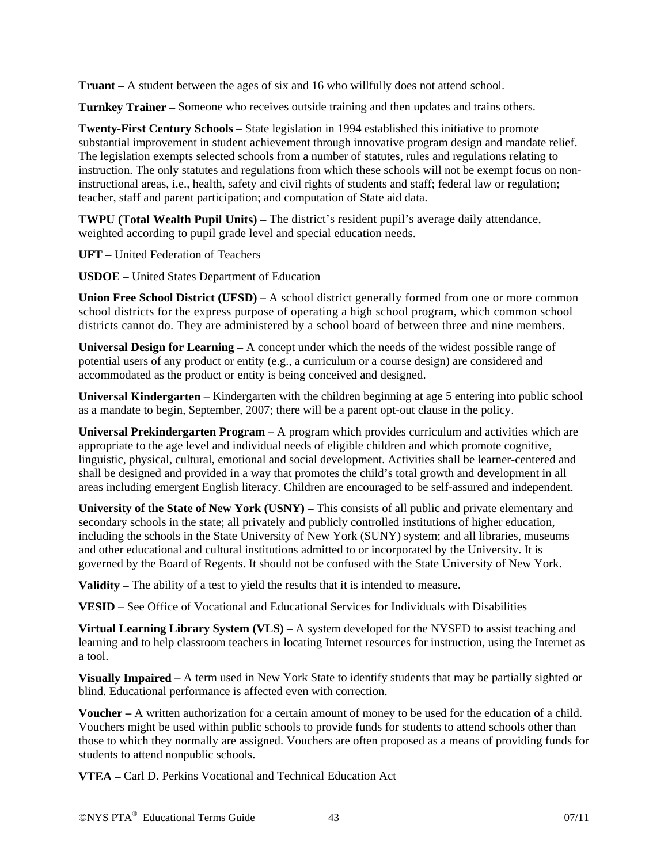**Truant –** A student between the ages of six and 16 who willfully does not attend school.

**Turnkey Trainer –** Someone who receives outside training and then updates and trains others.

**Twenty-First Century Schools –** State legislation in 1994 established this initiative to promote substantial improvement in student achievement through innovative program design and mandate relief. The legislation exempts selected schools from a number of statutes, rules and regulations relating to instruction. The only statutes and regulations from which these schools will not be exempt focus on noninstructional areas, i.e., health, safety and civil rights of students and staff; federal law or regulation; teacher, staff and parent participation; and computation of State aid data.

**TWPU (Total Wealth Pupil Units) –** The district's resident pupil's average daily attendance, weighted according to pupil grade level and special education needs.

**UFT –** United Federation of Teachers

**USDOE –** United States Department of Education

**Union Free School District (UFSD) –** A school district generally formed from one or more common school districts for the express purpose of operating a high school program, which common school districts cannot do. They are administered by a school board of between three and nine members.

**Universal Design for Learning –** A concept under which the needs of the widest possible range of potential users of any product or entity (e.g., a curriculum or a course design) are considered and accommodated as the product or entity is being conceived and designed.

**Universal Kindergarten –** Kindergarten with the children beginning at age 5 entering into public school as a mandate to begin, September, 2007; there will be a parent opt-out clause in the policy.

**Universal Prekindergarten Program –** A program which provides curriculum and activities which are appropriate to the age level and individual needs of eligible children and which promote cognitive, linguistic, physical, cultural, emotional and social development. Activities shall be learner-centered and shall be designed and provided in a way that promotes the child's total growth and development in all areas including emergent English literacy. Children are encouraged to be self-assured and independent.

**University of the State of New York (USNY) –** This consists of all public and private elementary and secondary schools in the state; all privately and publicly controlled institutions of higher education, including the schools in the State University of New York (SUNY) system; and all libraries, museums and other educational and cultural institutions admitted to or incorporated by the University. It is governed by the Board of Regents. It should not be confused with the State University of New York.

**Validity** – The ability of a test to yield the results that it is intended to measure.

**VESID –** See Office of Vocational and Educational Services for Individuals with Disabilities

**Virtual Learning Library System (VLS) –** A system developed for the NYSED to assist teaching and learning and to help classroom teachers in locating Internet resources for instruction, using the Internet as a tool.

**Visually Impaired –** A term used in New York State to identify students that may be partially sighted or blind. Educational performance is affected even with correction.

**Voucher –** A written authorization for a certain amount of money to be used for the education of a child. Vouchers might be used within public schools to provide funds for students to attend schools other than those to which they normally are assigned. Vouchers are often proposed as a means of providing funds for students to attend nonpublic schools.

**VTEA –** Carl D. Perkins Vocational and Technical Education Act